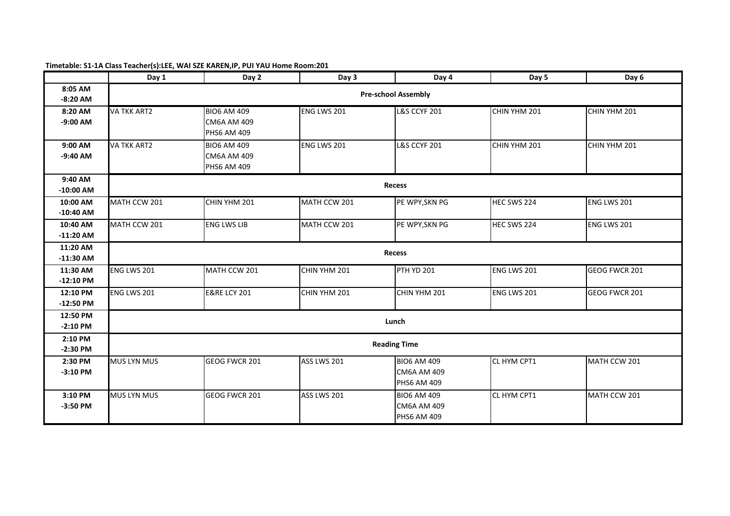|                         | Day 1                      | Day 2                                                          | Day 3        | Day 4                                                          | Day 5        | Day 6         |  |  |
|-------------------------|----------------------------|----------------------------------------------------------------|--------------|----------------------------------------------------------------|--------------|---------------|--|--|
| 8:05 AM<br>$-8:20$ AM   | <b>Pre-school Assembly</b> |                                                                |              |                                                                |              |               |  |  |
| 8:20 AM<br>$-9:00$ AM   | <b>VA TKK ART2</b>         | <b>BIO6 AM 409</b><br><b>CM6A AM 409</b><br><b>PHS6 AM 409</b> | ENG LWS 201  | <b>L&amp;S CCYF 201</b>                                        | CHIN YHM 201 | CHIN YHM 201  |  |  |
| 9:00 AM<br>$-9:40$ AM   | <b>VA TKK ART2</b>         | <b>BIO6 AM 409</b><br><b>CM6A AM 409</b><br><b>PHS6 AM 409</b> | ENG LWS 201  | <b>L&amp;S CCYF 201</b>                                        | CHIN YHM 201 | CHIN YHM 201  |  |  |
| 9:40 AM<br>$-10:00$ AM  |                            |                                                                |              | <b>Recess</b>                                                  |              |               |  |  |
| 10:00 AM<br>$-10:40$ AM | MATH CCW 201               | CHIN YHM 201                                                   | MATH CCW 201 | PE WPY, SKN PG                                                 | HEC SWS 224  | ENG LWS 201   |  |  |
| 10:40 AM<br>$-11:20$ AM | MATH CCW 201               | <b>ENG LWS LIB</b>                                             | MATH CCW 201 | PE WPY, SKN PG                                                 | HEC SWS 224  | ENG LWS 201   |  |  |
| 11:20 AM<br>$-11:30$ AM | <b>Recess</b>              |                                                                |              |                                                                |              |               |  |  |
| 11:30 AM<br>$-12:10$ PM | ENG LWS 201                | MATH CCW 201                                                   | CHIN YHM 201 | <b>PTH YD 201</b>                                              | ENG LWS 201  | GEOG FWCR 201 |  |  |
| 12:10 PM<br>$-12:50$ PM | ENG LWS 201                | <b>E&amp;RE LCY 201</b>                                        | CHIN YHM 201 | CHIN YHM 201                                                   | ENG LWS 201  | GEOG FWCR 201 |  |  |
| 12:50 PM<br>$-2:10$ PM  |                            |                                                                |              | Lunch                                                          |              |               |  |  |
| 2:10 PM<br>$-2:30$ PM   |                            |                                                                |              | <b>Reading Time</b>                                            |              |               |  |  |
| 2:30 PM<br>$-3:10$ PM   | <b>MUS LYN MUS</b>         | GEOG FWCR 201                                                  | ASS LWS 201  | <b>BIO6 AM 409</b><br><b>CM6A AM 409</b><br><b>PHS6 AM 409</b> | CL HYM CPT1  | MATH CCW 201  |  |  |
| 3:10 PM<br>$-3:50$ PM   | <b>MUS LYN MUS</b>         | <b>GEOG FWCR 201</b>                                           | ASS LWS 201  | <b>BIO6 AM 409</b><br><b>CM6A AM 409</b><br><b>PHS6 AM 409</b> | CL HYM CPT1  | MATH CCW 201  |  |  |

## **Timetable: S1-1A Class Teacher(s):LEE, WAI SZE KAREN,IP, PUI YAU Home Room:201**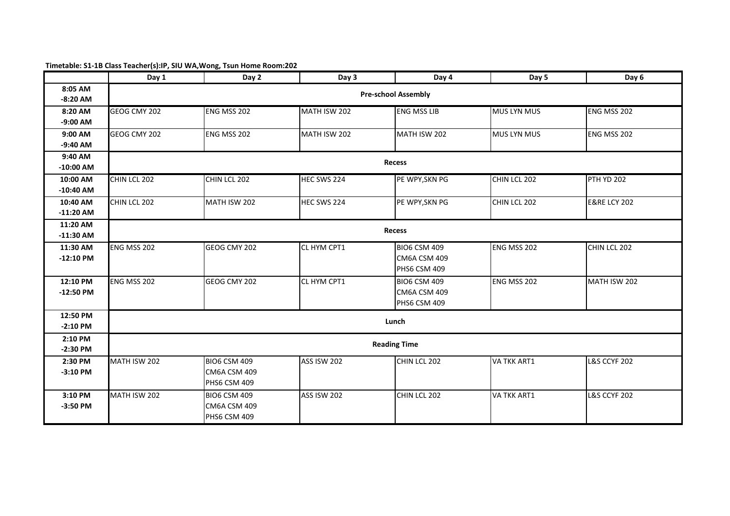## **Timetable: S1-1B Class Teacher(s):IP, SIU WA,Wong, Tsun Home Room:202**

|             | Day 1                      | Day 2               | Day 3              | Day 4               | Day 5              | Day 6                   |  |  |  |
|-------------|----------------------------|---------------------|--------------------|---------------------|--------------------|-------------------------|--|--|--|
| 8:05 AM     | <b>Pre-school Assembly</b> |                     |                    |                     |                    |                         |  |  |  |
| $-8:20$ AM  |                            |                     |                    |                     |                    |                         |  |  |  |
| 8:20 AM     | GEOG CMY 202               | ENG MSS 202         | MATH ISW 202       | <b>ENG MSS LIB</b>  | <b>MUS LYN MUS</b> | ENG MSS 202             |  |  |  |
| $-9:00$ AM  |                            |                     |                    |                     |                    |                         |  |  |  |
| 9:00 AM     | GEOG CMY 202               | ENG MSS 202         | MATH ISW 202       | MATH ISW 202        | <b>MUS LYN MUS</b> | ENG MSS 202             |  |  |  |
| $-9:40$ AM  |                            |                     |                    |                     |                    |                         |  |  |  |
| 9:40 AM     |                            |                     |                    | <b>Recess</b>       |                    |                         |  |  |  |
| $-10:00$ AM |                            |                     |                    |                     |                    |                         |  |  |  |
| 10:00 AM    | CHIN LCL 202               | CHIN LCL 202        | HEC SWS 224        | PE WPY, SKN PG      | CHIN LCL 202       | <b>PTH YD 202</b>       |  |  |  |
| $-10:40$ AM |                            |                     |                    |                     |                    |                         |  |  |  |
| 10:40 AM    | CHIN LCL 202               | MATH ISW 202        | HEC SWS 224        | PE WPY, SKN PG      | CHIN LCL 202       | <b>E&amp;RE LCY 202</b> |  |  |  |
| $-11:20$ AM |                            |                     |                    |                     |                    |                         |  |  |  |
| 11:20 AM    | <b>Recess</b>              |                     |                    |                     |                    |                         |  |  |  |
| $-11:30$ AM |                            |                     |                    |                     |                    |                         |  |  |  |
| 11:30 AM    | ENG MSS 202                | GEOG CMY 202        | CL HYM CPT1        | <b>BIO6 CSM 409</b> | ENG MSS 202        | CHIN LCL 202            |  |  |  |
| $-12:10$ PM |                            |                     |                    | CM6A CSM 409        |                    |                         |  |  |  |
|             |                            |                     |                    | <b>PHS6 CSM 409</b> |                    |                         |  |  |  |
| 12:10 PM    | <b>ENG MSS 202</b>         | GEOG CMY 202        | CL HYM CPT1        | <b>BIO6 CSM 409</b> | ENG MSS 202        | MATH ISW 202            |  |  |  |
| $-12:50$ PM |                            |                     |                    | CM6A CSM 409        |                    |                         |  |  |  |
|             |                            |                     |                    | <b>PHS6 CSM 409</b> |                    |                         |  |  |  |
| 12:50 PM    |                            |                     |                    | Lunch               |                    |                         |  |  |  |
| $-2:10$ PM  |                            |                     |                    |                     |                    |                         |  |  |  |
| 2:10 PM     |                            |                     |                    | <b>Reading Time</b> |                    |                         |  |  |  |
| $-2:30$ PM  |                            |                     |                    |                     |                    |                         |  |  |  |
| 2:30 PM     | MATH ISW 202               | <b>BIO6 CSM 409</b> | <b>ASS ISW 202</b> | CHIN LCL 202        | <b>VA TKK ART1</b> | <b>L&amp;S CCYF 202</b> |  |  |  |
| $-3:10$ PM  |                            | CM6A CSM 409        |                    |                     |                    |                         |  |  |  |
|             |                            | PHS6 CSM 409        |                    |                     |                    |                         |  |  |  |
| 3:10 PM     | MATH ISW 202               | <b>BIO6 CSM 409</b> | <b>ASS ISW 202</b> | CHIN LCL 202        | <b>VA TKK ART1</b> | <b>L&amp;S CCYF 202</b> |  |  |  |
| $-3:50$ PM  |                            | CM6A CSM 409        |                    |                     |                    |                         |  |  |  |
|             |                            | PHS6 CSM 409        |                    |                     |                    |                         |  |  |  |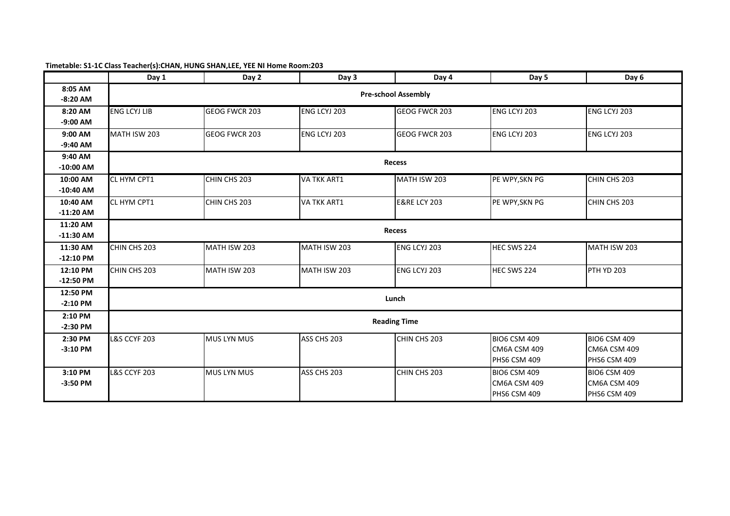## **Timetable: S1-1C Class Teacher(s):CHAN, HUNG SHAN,LEE, YEE NI Home Room:203**

|             | Day 1                   | Day 2                      | Day 3              | Day 4                   | Day 5               | Day 6               |  |  |  |  |
|-------------|-------------------------|----------------------------|--------------------|-------------------------|---------------------|---------------------|--|--|--|--|
| 8:05 AM     |                         | <b>Pre-school Assembly</b> |                    |                         |                     |                     |  |  |  |  |
| $-8:20$ AM  |                         |                            |                    |                         |                     |                     |  |  |  |  |
| 8:20 AM     | <b>ENG LCYJ LIB</b>     | <b>GEOG FWCR 203</b>       | ENG LCYJ 203       | GEOG FWCR 203           | ENG LCYJ 203        | ENG LCYJ 203        |  |  |  |  |
| $-9:00$ AM  |                         |                            |                    |                         |                     |                     |  |  |  |  |
| 9:00 AM     | MATH ISW 203            | GEOG FWCR 203              | ENG LCYJ 203       | GEOG FWCR 203           | ENG LCYJ 203        | ENG LCYJ 203        |  |  |  |  |
| $-9:40$ AM  |                         |                            |                    |                         |                     |                     |  |  |  |  |
| 9:40 AM     |                         |                            |                    | <b>Recess</b>           |                     |                     |  |  |  |  |
| $-10:00$ AM |                         |                            |                    |                         |                     |                     |  |  |  |  |
| 10:00 AM    | CL HYM CPT1             | CHIN CHS 203               | <b>VA TKK ART1</b> | MATH ISW 203            | PE WPY, SKN PG      | CHIN CHS 203        |  |  |  |  |
| $-10:40$ AM |                         |                            |                    |                         |                     |                     |  |  |  |  |
| 10:40 AM    | CL HYM CPT1             | CHIN CHS 203               | <b>VA TKK ART1</b> | <b>E&amp;RE LCY 203</b> | PE WPY, SKN PG      | CHIN CHS 203        |  |  |  |  |
| $-11:20$ AM |                         |                            |                    |                         |                     |                     |  |  |  |  |
| 11:20 AM    |                         |                            |                    |                         |                     |                     |  |  |  |  |
| $-11:30$ AM |                         |                            |                    | Recess                  |                     |                     |  |  |  |  |
| 11:30 AM    | CHIN CHS 203            | MATH ISW 203               | MATH ISW 203       | ENG LCYJ 203            | HEC SWS 224         | MATH ISW 203        |  |  |  |  |
| $-12:10$ PM |                         |                            |                    |                         |                     |                     |  |  |  |  |
| 12:10 PM    | CHIN CHS 203            | MATH ISW 203               | MATH ISW 203       | ENG LCYJ 203            | HEC SWS 224         | PTH YD 203          |  |  |  |  |
| $-12:50$ PM |                         |                            |                    |                         |                     |                     |  |  |  |  |
| 12:50 PM    |                         |                            |                    |                         |                     |                     |  |  |  |  |
| $-2:10$ PM  |                         |                            |                    | Lunch                   |                     |                     |  |  |  |  |
| 2:10 PM     |                         |                            |                    |                         |                     |                     |  |  |  |  |
| $-2:30$ PM  |                         |                            |                    | <b>Reading Time</b>     |                     |                     |  |  |  |  |
| 2:30 PM     | <b>L&amp;S CCYF 203</b> | <b>MUS LYN MUS</b>         | ASS CHS 203        | CHIN CHS 203            | <b>BIO6 CSM 409</b> | <b>BIO6 CSM 409</b> |  |  |  |  |
| $-3:10$ PM  |                         |                            |                    |                         | <b>CM6A CSM 409</b> | <b>CM6A CSM 409</b> |  |  |  |  |
|             |                         |                            |                    |                         | <b>PHS6 CSM 409</b> | <b>PHS6 CSM 409</b> |  |  |  |  |
| 3:10 PM     | <b>L&amp;S CCYF 203</b> | <b>MUS LYN MUS</b>         | ASS CHS 203        | CHIN CHS 203            | <b>BIO6 CSM 409</b> | <b>BIO6 CSM 409</b> |  |  |  |  |
| $-3:50$ PM  |                         |                            |                    |                         | CM6A CSM 409        | CM6A CSM 409        |  |  |  |  |
|             |                         |                            |                    |                         | <b>PHS6 CSM 409</b> | <b>PHS6 CSM 409</b> |  |  |  |  |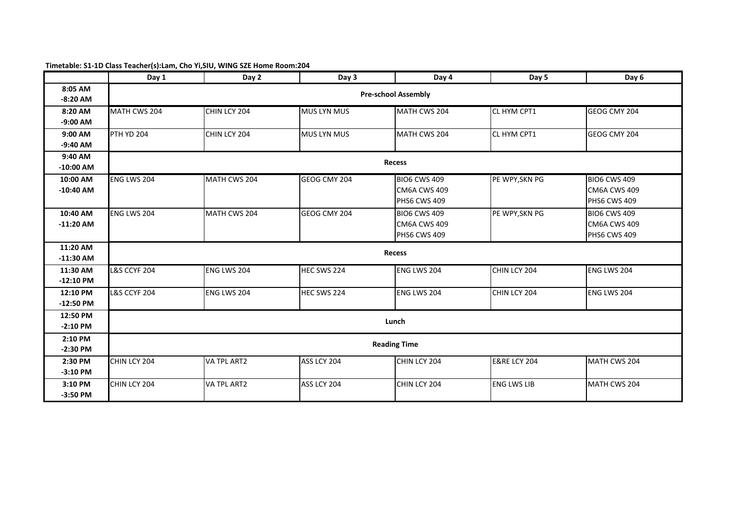## **Timetable: S1-1D Class Teacher(s):Lam, Cho Yi,SIU, WING SZE Home Room:204**

|             | Day 1                   | Day 2              | Day 3              | Day 4                      | Day 5                   | Day 6               |  |  |
|-------------|-------------------------|--------------------|--------------------|----------------------------|-------------------------|---------------------|--|--|
| 8:05 AM     |                         |                    |                    | <b>Pre-school Assembly</b> |                         |                     |  |  |
| $-8:20$ AM  |                         |                    |                    |                            |                         |                     |  |  |
| 8:20 AM     | MATH CWS 204            | CHIN LCY 204       | <b>MUS LYN MUS</b> | MATH CWS 204               | CL HYM CPT1             | GEOG CMY 204        |  |  |
| $-9:00$ AM  |                         |                    |                    |                            |                         |                     |  |  |
| 9:00 AM     | <b>PTH YD 204</b>       | CHIN LCY 204       | <b>MUS LYN MUS</b> | MATH CWS 204               | CL HYM CPT1             | GEOG CMY 204        |  |  |
| $-9:40$ AM  |                         |                    |                    |                            |                         |                     |  |  |
| 9:40 AM     |                         |                    |                    | <b>Recess</b>              |                         |                     |  |  |
| $-10:00$ AM |                         |                    |                    |                            |                         |                     |  |  |
| 10:00 AM    | ENG LWS 204             | MATH CWS 204       | GEOG CMY 204       | <b>BIO6 CWS 409</b>        | PE WPY, SKN PG          | <b>BIO6 CWS 409</b> |  |  |
| $-10:40$ AM |                         |                    |                    | CM6A CWS 409               |                         | CM6A CWS 409        |  |  |
|             |                         |                    |                    | <b>PHS6 CWS 409</b>        |                         | <b>PHS6 CWS 409</b> |  |  |
| 10:40 AM    | ENG LWS 204             | MATH CWS 204       | GEOG CMY 204       | <b>BIO6 CWS 409</b>        | PE WPY, SKN PG          | <b>BIO6 CWS 409</b> |  |  |
| $-11:20$ AM |                         |                    |                    | CM6A CWS 409               |                         | CM6A CWS 409        |  |  |
|             |                         |                    |                    | <b>PHS6 CWS 409</b>        |                         | PHS6 CWS 409        |  |  |
| 11:20 AM    |                         |                    |                    | Recess                     |                         |                     |  |  |
| $-11:30$ AM |                         |                    |                    |                            |                         |                     |  |  |
| 11:30 AM    | <b>L&amp;S CCYF 204</b> | ENG LWS 204        | HEC SWS 224        | ENG LWS 204                | CHIN LCY 204            | ENG LWS 204         |  |  |
| $-12:10$ PM |                         |                    |                    |                            |                         |                     |  |  |
| 12:10 PM    | <b>L&amp;S CCYF 204</b> | ENG LWS 204        | HEC SWS 224        | ENG LWS 204                | CHIN LCY 204            | ENG LWS 204         |  |  |
| $-12:50$ PM |                         |                    |                    |                            |                         |                     |  |  |
| 12:50 PM    |                         |                    |                    | Lunch                      |                         |                     |  |  |
| $-2:10$ PM  |                         |                    |                    |                            |                         |                     |  |  |
| 2:10 PM     |                         |                    |                    | <b>Reading Time</b>        |                         |                     |  |  |
| $-2:30$ PM  |                         |                    |                    |                            |                         |                     |  |  |
| 2:30 PM     | CHIN LCY 204            | <b>VA TPL ART2</b> | ASS LCY 204        | CHIN LCY 204               | <b>E&amp;RE LCY 204</b> | MATH CWS 204        |  |  |
| $-3:10$ PM  |                         |                    |                    |                            |                         |                     |  |  |
| 3:10 PM     | CHIN LCY 204            | VA TPL ART2        | ASS LCY 204        | CHIN LCY 204               | <b>ENG LWS LIB</b>      | MATH CWS 204        |  |  |
| $-3:50$ PM  |                         |                    |                    |                            |                         |                     |  |  |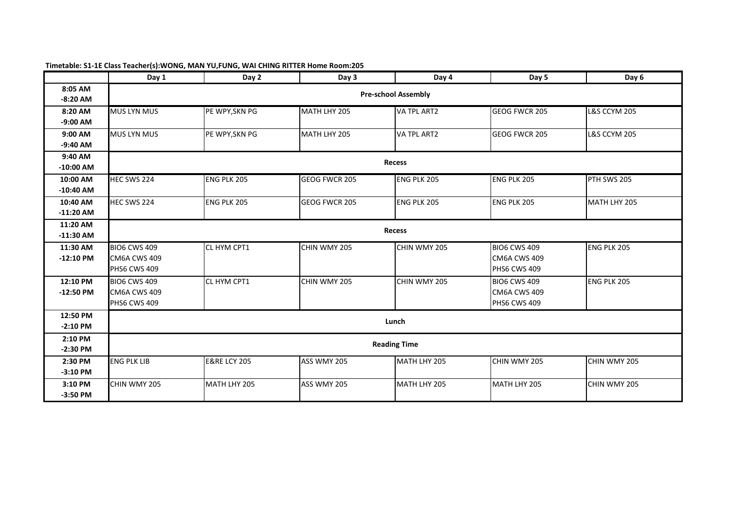|             | Day 1               | Day 2                   | Day 3         | Day 4                      | Day 5               | Day 6                   |  |  |
|-------------|---------------------|-------------------------|---------------|----------------------------|---------------------|-------------------------|--|--|
| 8:05 AM     |                     |                         |               | <b>Pre-school Assembly</b> |                     |                         |  |  |
| $-8:20$ AM  |                     |                         |               |                            |                     |                         |  |  |
| 8:20 AM     | <b>MUS LYN MUS</b>  | PE WPY, SKN PG          | MATH LHY 205  | VA TPL ART2                | GEOG FWCR 205       | <b>L&amp;S CCYM 205</b> |  |  |
| $-9:00$ AM  |                     |                         |               |                            |                     |                         |  |  |
| 9:00 AM     | <b>MUS LYN MUS</b>  | PE WPY, SKN PG          | MATH LHY 205  | VA TPL ART2                | GEOG FWCR 205       | <b>L&amp;S CCYM 205</b> |  |  |
| $-9:40$ AM  |                     |                         |               |                            |                     |                         |  |  |
| 9:40 AM     |                     |                         |               | Recess                     |                     |                         |  |  |
| $-10:00$ AM |                     |                         |               |                            |                     |                         |  |  |
| 10:00 AM    | HEC SWS 224         | <b>ENG PLK 205</b>      | GEOG FWCR 205 | <b>ENG PLK 205</b>         | ENG PLK 205         | PTH SWS 205             |  |  |
| $-10:40$ AM |                     |                         |               |                            |                     |                         |  |  |
| 10:40 AM    | HEC SWS 224         | <b>ENG PLK 205</b>      | GEOG FWCR 205 | <b>ENG PLK 205</b>         | ENG PLK 205         | MATH LHY 205            |  |  |
| $-11:20$ AM |                     |                         |               |                            |                     |                         |  |  |
| 11:20 AM    | <b>Recess</b>       |                         |               |                            |                     |                         |  |  |
| $-11:30$ AM |                     |                         |               |                            |                     |                         |  |  |
| 11:30 AM    | <b>BIO6 CWS 409</b> | CL HYM CPT1             | CHIN WMY 205  | CHIN WMY 205               | <b>BIO6 CWS 409</b> | ENG PLK 205             |  |  |
| $-12:10$ PM | <b>CM6A CWS 409</b> |                         |               |                            | <b>CM6A CWS 409</b> |                         |  |  |
|             | <b>PHS6 CWS 409</b> |                         |               |                            | <b>PHS6 CWS 409</b> |                         |  |  |
| 12:10 PM    | <b>BIO6 CWS 409</b> | <b>CL HYM CPT1</b>      | CHIN WMY 205  | CHIN WMY 205               | <b>BIO6 CWS 409</b> | <b>ENG PLK 205</b>      |  |  |
| $-12:50$ PM | <b>CM6A CWS 409</b> |                         |               |                            | <b>CM6A CWS 409</b> |                         |  |  |
|             | <b>PHS6 CWS 409</b> |                         |               |                            | PHS6 CWS 409        |                         |  |  |
| 12:50 PM    |                     |                         |               | Lunch                      |                     |                         |  |  |
| $-2:10$ PM  |                     |                         |               |                            |                     |                         |  |  |
| 2:10 PM     |                     |                         |               | <b>Reading Time</b>        |                     |                         |  |  |
| $-2:30$ PM  |                     |                         |               |                            |                     |                         |  |  |
| 2:30 PM     | <b>ENG PLK LIB</b>  | <b>E&amp;RE LCY 205</b> | ASS WMY 205   | MATH LHY 205               | CHIN WMY 205        | CHIN WMY 205            |  |  |
| $-3:10$ PM  |                     |                         |               |                            |                     |                         |  |  |
| 3:10 PM     | CHIN WMY 205        | MATH LHY 205            | ASS WMY 205   | MATH LHY 205               | MATH LHY 205        | CHIN WMY 205            |  |  |
| $-3:50$ PM  |                     |                         |               |                            |                     |                         |  |  |

### **Timetable: S1-1E Class Teacher(s):WONG, MAN YU,FUNG, WAI CHING RITTER Home Room:205**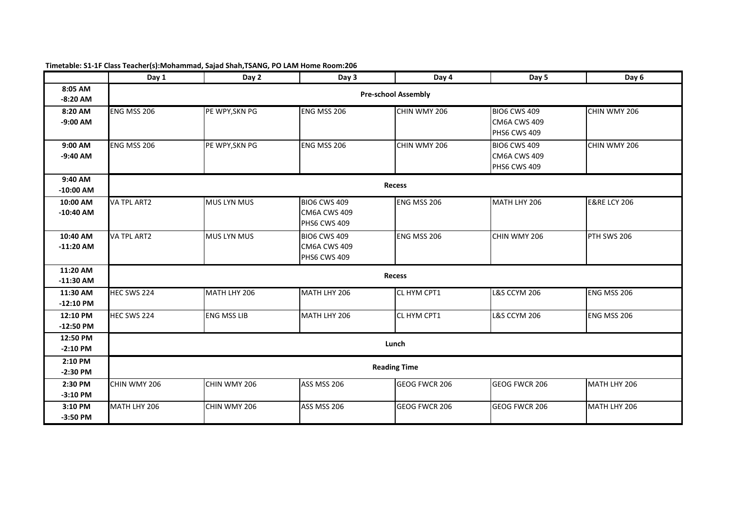|             | Day 1              | Day 2              | Day 3               | Day 4                      | Day 5                   | Day 6                   |  |  |
|-------------|--------------------|--------------------|---------------------|----------------------------|-------------------------|-------------------------|--|--|
| 8:05 AM     |                    |                    |                     | <b>Pre-school Assembly</b> |                         |                         |  |  |
| $-8:20$ AM  |                    |                    |                     |                            |                         |                         |  |  |
| 8:20 AM     | ENG MSS 206        | PE WPY, SKN PG     | ENG MSS 206         | CHIN WMY 206               | <b>BIO6 CWS 409</b>     | CHIN WMY 206            |  |  |
| $-9:00$ AM  |                    |                    |                     |                            | <b>CM6A CWS 409</b>     |                         |  |  |
|             |                    |                    |                     |                            | PHS6 CWS 409            |                         |  |  |
| 9:00 AM     | ENG MSS 206        | PE WPY, SKN PG     | <b>ENG MSS 206</b>  | CHIN WMY 206               | <b>BIO6 CWS 409</b>     | CHIN WMY 206            |  |  |
| $-9:40$ AM  |                    |                    |                     |                            | <b>CM6A CWS 409</b>     |                         |  |  |
|             |                    |                    |                     |                            | PHS6 CWS 409            |                         |  |  |
| 9:40 AM     |                    |                    |                     | Recess                     |                         |                         |  |  |
| $-10:00$ AM |                    |                    |                     |                            |                         |                         |  |  |
| 10:00 AM    | <b>VA TPL ART2</b> | <b>MUS LYN MUS</b> | <b>BIO6 CWS 409</b> | ENG MSS 206                | MATH LHY 206            | <b>E&amp;RE LCY 206</b> |  |  |
| $-10:40$ AM |                    |                    | CM6A CWS 409        |                            |                         |                         |  |  |
|             |                    |                    | PHS6 CWS 409        |                            |                         |                         |  |  |
| 10:40 AM    | VA TPL ART2        | <b>MUS LYN MUS</b> | <b>BIO6 CWS 409</b> | ENG MSS 206                | CHIN WMY 206            | PTH SWS 206             |  |  |
| $-11:20$ AM |                    |                    | <b>CM6A CWS 409</b> |                            |                         |                         |  |  |
|             |                    |                    | <b>PHS6 CWS 409</b> |                            |                         |                         |  |  |
| 11:20 AM    |                    |                    |                     | <b>Recess</b>              |                         |                         |  |  |
| $-11:30$ AM |                    |                    |                     |                            |                         |                         |  |  |
| 11:30 AM    | HEC SWS 224        | MATH LHY 206       | MATH LHY 206        | CL HYM CPT1                | <b>L&amp;S CCYM 206</b> | ENG MSS 206             |  |  |
| $-12:10$ PM |                    |                    |                     |                            |                         |                         |  |  |
| 12:10 PM    | HEC SWS 224        | <b>ENG MSS LIB</b> | MATH LHY 206        | CL HYM CPT1                | <b>L&amp;S CCYM 206</b> | ENG MSS 206             |  |  |
| $-12:50$ PM |                    |                    |                     |                            |                         |                         |  |  |
| 12:50 PM    |                    |                    |                     | Lunch                      |                         |                         |  |  |
| $-2:10$ PM  |                    |                    |                     |                            |                         |                         |  |  |
| 2:10 PM     |                    |                    |                     | <b>Reading Time</b>        |                         |                         |  |  |
| $-2:30$ PM  |                    |                    |                     |                            |                         |                         |  |  |
| 2:30 PM     | CHIN WMY 206       | CHIN WMY 206       | <b>ASS MSS 206</b>  | GEOG FWCR 206              | GEOG FWCR 206           | MATH LHY 206            |  |  |
| $-3:10$ PM  |                    |                    |                     |                            |                         |                         |  |  |
| 3:10 PM     | MATH LHY 206       | CHIN WMY 206       | <b>ASS MSS 206</b>  | GEOG FWCR 206              | GEOG FWCR 206           | MATH LHY 206            |  |  |
| $-3:50$ PM  |                    |                    |                     |                            |                         |                         |  |  |

#### **Timetable: S1-1F Class Teacher(s):Mohammad, Sajad Shah,TSANG, PO LAM Home Room:206**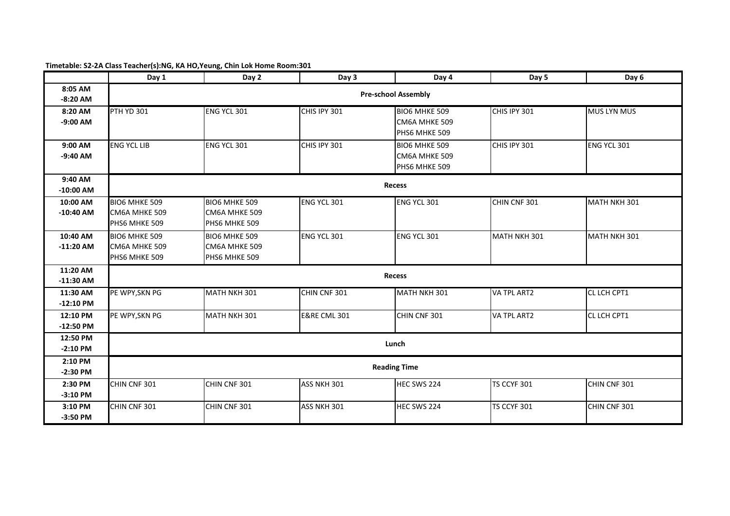# **Timetable: S2-2A Class Teacher(s):NG, KA HO,Yeung, Chin Lok Home Room:301**

|             | Day 1              | Day 2                | Day 3                   | Day 4                      | Day 5              | Day 6              |  |  |
|-------------|--------------------|----------------------|-------------------------|----------------------------|--------------------|--------------------|--|--|
| 8:05 AM     |                    |                      |                         | <b>Pre-school Assembly</b> |                    |                    |  |  |
| $-8:20$ AM  |                    |                      |                         |                            |                    |                    |  |  |
| 8:20 AM     | <b>PTH YD 301</b>  | <b>ENG YCL 301</b>   | CHIS IPY 301            | BIO6 MHKE 509              | CHIS IPY 301       | <b>MUS LYN MUS</b> |  |  |
| $-9:00$ AM  |                    |                      |                         | CM6A MHKE 509              |                    |                    |  |  |
|             |                    |                      |                         | PHS6 MHKE 509              |                    |                    |  |  |
| 9:00 AM     | <b>ENG YCL LIB</b> | ENG YCL 301          | CHIS IPY 301            | BIO6 MHKE 509              | CHIS IPY 301       | ENG YCL 301        |  |  |
| $-9:40$ AM  |                    |                      |                         | CM6A MHKE 509              |                    |                    |  |  |
|             |                    |                      |                         | PHS6 MHKE 509              |                    |                    |  |  |
| 9:40 AM     |                    |                      |                         |                            |                    |                    |  |  |
| $-10:00$ AM |                    |                      |                         | <b>Recess</b>              |                    |                    |  |  |
| 10:00 AM    | BIO6 MHKE 509      | <b>BIO6 MHKE 509</b> | ENG YCL 301             | ENG YCL 301                | CHIN CNF 301       | MATH NKH 301       |  |  |
| $-10:40$ AM | CM6A MHKE 509      | CM6A MHKE 509        |                         |                            |                    |                    |  |  |
|             | PHS6 MHKE 509      | PHS6 MHKE 509        |                         |                            |                    |                    |  |  |
| 10:40 AM    | BIO6 MHKE 509      | <b>BIO6 MHKE 509</b> | ENG YCL 301             | ENG YCL 301                | MATH NKH 301       | MATH NKH 301       |  |  |
| $-11:20$ AM | CM6A MHKE 509      | CM6A MHKE 509        |                         |                            |                    |                    |  |  |
|             | PHS6 MHKE 509      | PHS6 MHKE 509        |                         |                            |                    |                    |  |  |
| 11:20 AM    |                    |                      |                         | <b>Recess</b>              |                    |                    |  |  |
| $-11:30$ AM |                    |                      |                         |                            |                    |                    |  |  |
| 11:30 AM    | PE WPY, SKN PG     | MATH NKH 301         | CHIN CNF 301            | MATH NKH 301               | VA TPL ART2        | CL LCH CPT1        |  |  |
| $-12:10$ PM |                    |                      |                         |                            |                    |                    |  |  |
| 12:10 PM    | PE WPY, SKN PG     | MATH NKH 301         | <b>E&amp;RE CML 301</b> | CHIN CNF 301               | VA TPL ART2        | CL LCH CPT1        |  |  |
| $-12:50$ PM |                    |                      |                         |                            |                    |                    |  |  |
| 12:50 PM    |                    |                      |                         | Lunch                      |                    |                    |  |  |
| $-2:10$ PM  |                    |                      |                         |                            |                    |                    |  |  |
| 2:10 PM     |                    |                      |                         | <b>Reading Time</b>        |                    |                    |  |  |
| $-2:30$ PM  |                    |                      |                         |                            |                    |                    |  |  |
| 2:30 PM     | CHIN CNF 301       | CHIN CNF 301         | ASS NKH 301             | HEC SWS 224                | <b>TS CCYF 301</b> | CHIN CNF 301       |  |  |
| $-3:10$ PM  |                    |                      |                         |                            |                    |                    |  |  |
| 3:10 PM     | CHIN CNF 301       | CHIN CNF 301         | ASS NKH 301             | HEC SWS 224                | TS CCYF 301        | CHIN CNF 301       |  |  |
| $-3:50$ PM  |                    |                      |                         |                            |                    |                    |  |  |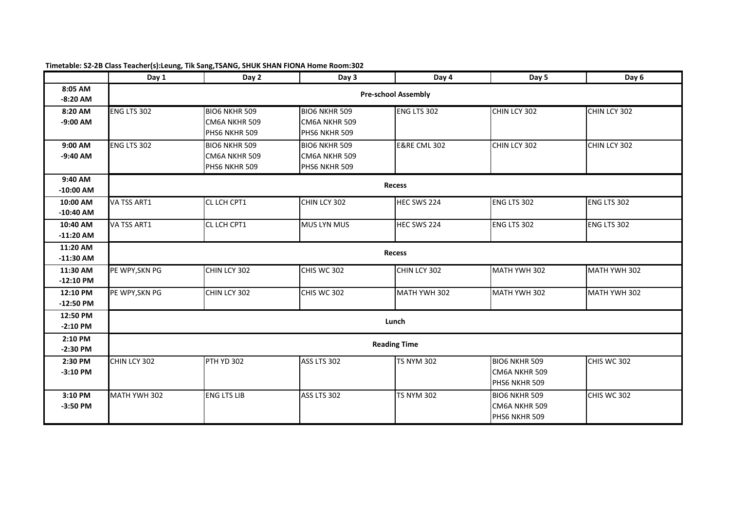|             | Day 1                      | Day 2                | Day 3                | Day 4                   | Day 5                | Day 6              |  |  |  |
|-------------|----------------------------|----------------------|----------------------|-------------------------|----------------------|--------------------|--|--|--|
| 8:05 AM     | <b>Pre-school Assembly</b> |                      |                      |                         |                      |                    |  |  |  |
| $-8:20$ AM  |                            |                      |                      |                         |                      |                    |  |  |  |
| 8:20 AM     | <b>ENG LTS 302</b>         | <b>BIO6 NKHR 509</b> | <b>BIO6 NKHR 509</b> | ENG LTS 302             | CHIN LCY 302         | CHIN LCY 302       |  |  |  |
| $-9:00$ AM  |                            | CM6A NKHR 509        | CM6A NKHR 509        |                         |                      |                    |  |  |  |
|             |                            | PHS6 NKHR 509        | PHS6 NKHR 509        |                         |                      |                    |  |  |  |
| 9:00 AM     | ENG LTS 302                | <b>BIO6 NKHR 509</b> | <b>BIO6 NKHR 509</b> | <b>E&amp;RE CML 302</b> | CHIN LCY 302         | CHIN LCY 302       |  |  |  |
| $-9:40$ AM  |                            | CM6A NKHR 509        | CM6A NKHR 509        |                         |                      |                    |  |  |  |
|             |                            | PHS6 NKHR 509        | PHS6 NKHR 509        |                         |                      |                    |  |  |  |
| 9:40 AM     |                            |                      |                      |                         |                      |                    |  |  |  |
| $-10:00$ AM |                            |                      |                      | <b>Recess</b>           |                      |                    |  |  |  |
| 10:00 AM    | VA TSS ART1                | CL LCH CPT1          | CHIN LCY 302         | HEC SWS 224             | ENG LTS 302          | <b>ENG LTS 302</b> |  |  |  |
| $-10:40$ AM |                            |                      |                      |                         |                      |                    |  |  |  |
| 10:40 AM    | VA TSS ART1                | CL LCH CPT1          | <b>MUS LYN MUS</b>   | HEC SWS 224             | ENG LTS 302          | ENG LTS 302        |  |  |  |
| $-11:20$ AM |                            |                      |                      |                         |                      |                    |  |  |  |
| 11:20 AM    | <b>Recess</b>              |                      |                      |                         |                      |                    |  |  |  |
| $-11:30$ AM |                            |                      |                      |                         |                      |                    |  |  |  |
| 11:30 AM    | PE WPY, SKN PG             | CHIN LCY 302         | CHIS WC 302          | CHIN LCY 302            | MATH YWH 302         | MATH YWH 302       |  |  |  |
| $-12:10$ PM |                            |                      |                      |                         |                      |                    |  |  |  |
| 12:10 PM    | PE WPY, SKN PG             | CHIN LCY 302         | CHIS WC 302          | MATH YWH 302            | MATH YWH 302         | MATH YWH 302       |  |  |  |
| $-12:50$ PM |                            |                      |                      |                         |                      |                    |  |  |  |
| 12:50 PM    |                            |                      |                      | Lunch                   |                      |                    |  |  |  |
| $-2:10$ PM  |                            |                      |                      |                         |                      |                    |  |  |  |
| 2:10 PM     |                            |                      |                      | <b>Reading Time</b>     |                      |                    |  |  |  |
| $-2:30$ PM  |                            |                      |                      |                         |                      |                    |  |  |  |
| 2:30 PM     | CHIN LCY 302               | <b>PTH YD 302</b>    | ASS LTS 302          | <b>TS NYM 302</b>       | <b>BIO6 NKHR 509</b> | CHIS WC 302        |  |  |  |
| $-3:10$ PM  |                            |                      |                      |                         | CM6A NKHR 509        |                    |  |  |  |
|             |                            |                      |                      |                         | PHS6 NKHR 509        |                    |  |  |  |
| 3:10 PM     | MATH YWH 302               | <b>ENG LTS LIB</b>   | ASS LTS 302          | <b>TS NYM 302</b>       | <b>BIO6 NKHR 509</b> | CHIS WC 302        |  |  |  |
| $-3:50$ PM  |                            |                      |                      |                         | CM6A NKHR 509        |                    |  |  |  |
|             |                            |                      |                      |                         | PHS6 NKHR 509        |                    |  |  |  |

#### **Timetable: S2-2B Class Teacher(s):Leung, Tik Sang,TSANG, SHUK SHAN FIONA Home Room:302**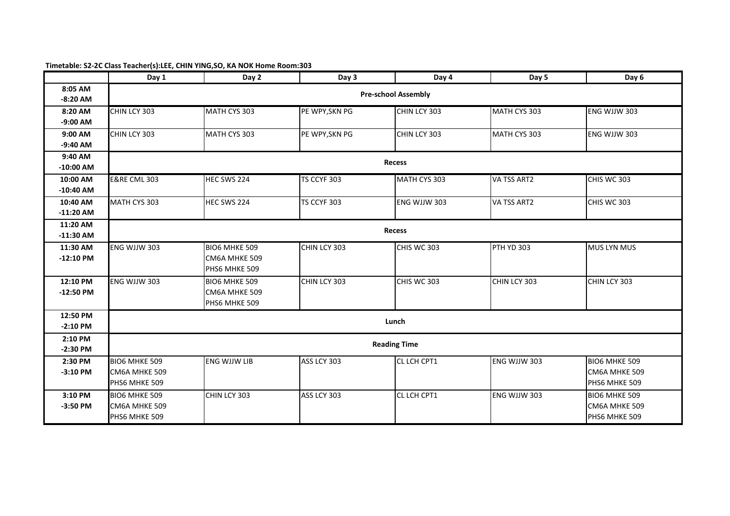## **Timetable: S2-2C Class Teacher(s):LEE, CHIN YING,SO, KA NOK Home Room:303**

|             | Day 1                   | Day 2                      | Day 3          | Day 4               | Day 5             | Day 6              |  |  |  |  |
|-------------|-------------------------|----------------------------|----------------|---------------------|-------------------|--------------------|--|--|--|--|
| 8:05 AM     |                         | <b>Pre-school Assembly</b> |                |                     |                   |                    |  |  |  |  |
| $-8:20$ AM  |                         |                            |                |                     |                   |                    |  |  |  |  |
| 8:20 AM     | CHIN LCY 303            | MATH CYS 303               | PE WPY, SKN PG | CHIN LCY 303        | MATH CYS 303      | ENG WJJW 303       |  |  |  |  |
| $-9:00$ AM  |                         |                            |                |                     |                   |                    |  |  |  |  |
| 9:00 AM     | CHIN LCY 303            | MATH CYS 303               | PE WPY, SKN PG | CHIN LCY 303        | MATH CYS 303      | ENG WJJW 303       |  |  |  |  |
| $-9:40$ AM  |                         |                            |                |                     |                   |                    |  |  |  |  |
| 9:40 AM     |                         |                            |                | <b>Recess</b>       |                   |                    |  |  |  |  |
| $-10:00$ AM |                         |                            |                |                     |                   |                    |  |  |  |  |
| 10:00 AM    | <b>E&amp;RE CML 303</b> | HEC SWS 224                | TS CCYF 303    | MATH CYS 303        | VA TSS ART2       | CHIS WC 303        |  |  |  |  |
| $-10:40$ AM |                         |                            |                |                     |                   |                    |  |  |  |  |
| 10:40 AM    | MATH CYS 303            | HEC SWS 224                | TS CCYF 303    | ENG WJJW 303        | VA TSS ART2       | CHIS WC 303        |  |  |  |  |
| $-11:20$ AM |                         |                            |                |                     |                   |                    |  |  |  |  |
| 11:20 AM    | <b>Recess</b>           |                            |                |                     |                   |                    |  |  |  |  |
| $-11:30$ AM |                         |                            |                |                     |                   |                    |  |  |  |  |
| 11:30 AM    | ENG WJJW 303            | <b>BIO6 MHKE 509</b>       | CHIN LCY 303   | CHIS WC 303         | <b>PTH YD 303</b> | <b>MUS LYN MUS</b> |  |  |  |  |
| $-12:10$ PM |                         | CM6A MHKE 509              |                |                     |                   |                    |  |  |  |  |
|             |                         | PHS6 MHKE 509              |                |                     |                   |                    |  |  |  |  |
| 12:10 PM    | ENG WJJW 303            | BIO6 MHKE 509              | CHIN LCY 303   | CHIS WC 303         | CHIN LCY 303      | CHIN LCY 303       |  |  |  |  |
| $-12:50$ PM |                         | CM6A MHKE 509              |                |                     |                   |                    |  |  |  |  |
|             |                         | PHS6 MHKE 509              |                |                     |                   |                    |  |  |  |  |
| 12:50 PM    |                         |                            |                | Lunch               |                   |                    |  |  |  |  |
| $-2:10$ PM  |                         |                            |                |                     |                   |                    |  |  |  |  |
| 2:10 PM     |                         |                            |                | <b>Reading Time</b> |                   |                    |  |  |  |  |
| $-2:30$ PM  |                         |                            |                |                     |                   |                    |  |  |  |  |
| 2:30 PM     | <b>BIO6 MHKE 509</b>    | <b>ENG WJJW LIB</b>        | ASS LCY 303    | CL LCH CPT1         | ENG WJJW 303      | BIO6 MHKE 509      |  |  |  |  |
| $-3:10$ PM  | CM6A MHKE 509           |                            |                |                     |                   | CM6A MHKE 509      |  |  |  |  |
|             | PHS6 MHKE 509           |                            |                |                     |                   | PHS6 MHKE 509      |  |  |  |  |
| 3:10 PM     | <b>BIO6 MHKE 509</b>    | CHIN LCY 303               | ASS LCY 303    | CL LCH CPT1         | ENG WJJW 303      | BIO6 MHKE 509      |  |  |  |  |
| $-3:50$ PM  | CM6A MHKE 509           |                            |                |                     |                   | CM6A MHKE 509      |  |  |  |  |
|             | PHS6 MHKE 509           |                            |                |                     |                   | PHS6 MHKE 509      |  |  |  |  |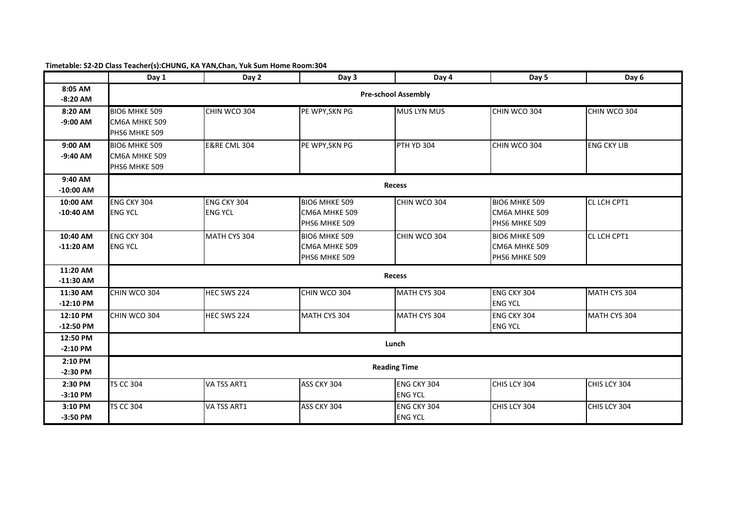|                         | Day 1                                                  | Day 2                         | Day 3                                                  | Day 4                                | Day 5                                           | Day 6              |  |  |
|-------------------------|--------------------------------------------------------|-------------------------------|--------------------------------------------------------|--------------------------------------|-------------------------------------------------|--------------------|--|--|
| 8:05 AM<br>$-8:20$ AM   | <b>Pre-school Assembly</b>                             |                               |                                                        |                                      |                                                 |                    |  |  |
| 8:20 AM<br>$-9:00$ AM   | <b>BIO6 MHKE 509</b><br>CM6A MHKE 509<br>PHS6 MHKE 509 | CHIN WCO 304                  | PE WPY, SKN PG                                         | <b>MUS LYN MUS</b>                   | CHIN WCO 304                                    | CHIN WCO 304       |  |  |
| 9:00 AM<br>$-9:40$ AM   | <b>BIO6 MHKE 509</b><br>CM6A MHKE 509<br>PHS6 MHKE 509 | <b>E&amp;RE CML 304</b>       | PE WPY, SKN PG                                         | PTH YD 304                           | CHIN WCO 304                                    | <b>ENG CKY LIB</b> |  |  |
| 9:40 AM<br>$-10:00$ AM  |                                                        |                               |                                                        | <b>Recess</b>                        |                                                 |                    |  |  |
| 10:00 AM<br>$-10:40$ AM | ENG CKY 304<br><b>ENG YCL</b>                          | ENG CKY 304<br><b>ENG YCL</b> | BIO6 MHKE 509<br>CM6A MHKE 509<br>PHS6 MHKE 509        | CHIN WCO 304                         | BIO6 MHKE 509<br>CM6A MHKE 509<br>PHS6 MHKE 509 | CL LCH CPT1        |  |  |
| 10:40 AM<br>$-11:20$ AM | ENG CKY 304<br><b>ENG YCL</b>                          | MATH CYS 304                  | <b>BIO6 MHKE 509</b><br>CM6A MHKE 509<br>PHS6 MHKE 509 | CHIN WCO 304                         | BIO6 MHKE 509<br>CM6A MHKE 509<br>PHS6 MHKE 509 | CL LCH CPT1        |  |  |
| 11:20 AM<br>$-11:30$ AM |                                                        |                               |                                                        | <b>Recess</b>                        |                                                 |                    |  |  |
| 11:30 AM<br>$-12:10$ PM | CHIN WCO 304                                           | HEC SWS 224                   | CHIN WCO 304                                           | MATH CYS 304                         | ENG CKY 304<br><b>ENG YCL</b>                   | MATH CYS 304       |  |  |
| 12:10 PM<br>$-12:50$ PM | CHIN WCO 304                                           | HEC SWS 224                   | MATH CYS 304                                           | MATH CYS 304                         | ENG CKY 304<br><b>ENG YCL</b>                   | MATH CYS 304       |  |  |
| 12:50 PM<br>$-2:10$ PM  |                                                        |                               |                                                        | Lunch                                |                                                 |                    |  |  |
| 2:10 PM<br>$-2:30$ PM   |                                                        |                               |                                                        | <b>Reading Time</b>                  |                                                 |                    |  |  |
| 2:30 PM<br>$-3:10$ PM   | <b>TS CC 304</b>                                       | VA TSS ART1                   | ASS CKY 304                                            | ENG CKY 304<br><b>ENG YCL</b>        | CHIS LCY 304                                    | CHIS LCY 304       |  |  |
| 3:10 PM<br>$-3:50$ PM   | <b>TS CC 304</b>                                       | VA TSS ART1                   | ASS CKY 304                                            | <b>ENG CKY 304</b><br><b>ENG YCL</b> | CHIS LCY 304                                    | CHIS LCY 304       |  |  |

### **Timetable: S2-2D Class Teacher(s):CHUNG, KA YAN,Chan, Yuk Sum Home Room:304**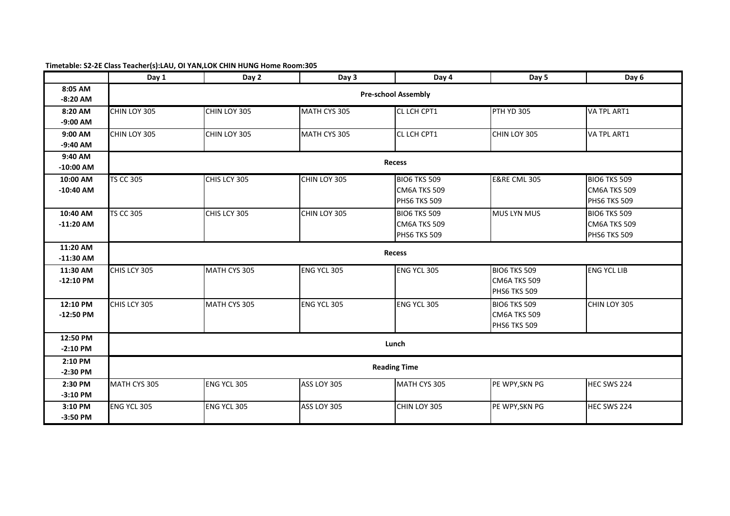# **Timetable: S2-2E Class Teacher(s):LAU, OI YAN,LOK CHIN HUNG Home Room:305**

|                         | Day 1                      | Day 2        | Day 3        | Day 4                                                      | Day 5                                               | Day 6                                                      |  |  |
|-------------------------|----------------------------|--------------|--------------|------------------------------------------------------------|-----------------------------------------------------|------------------------------------------------------------|--|--|
| 8:05 AM<br>$-8:20$ AM   | <b>Pre-school Assembly</b> |              |              |                                                            |                                                     |                                                            |  |  |
| 8:20 AM<br>$-9:00$ AM   | CHIN LOY 305               | CHIN LOY 305 | MATH CYS 305 | CL LCH CPT1                                                | PTH YD 305                                          | VA TPL ART1                                                |  |  |
| 9:00 AM<br>$-9:40$ AM   | CHIN LOY 305               | CHIN LOY 305 | MATH CYS 305 | CL LCH CPT1                                                | CHIN LOY 305                                        | VA TPL ART1                                                |  |  |
| 9:40 AM<br>$-10:00$ AM  |                            |              |              | <b>Recess</b>                                              |                                                     |                                                            |  |  |
| 10:00 AM<br>$-10:40$ AM | <b>TS CC 305</b>           | CHIS LCY 305 | CHIN LOY 305 | <b>BIO6 TKS 509</b><br><b>CM6A TKS 509</b><br>PHS6 TKS 509 | <b>E&amp;RE CML 305</b>                             | <b>BIO6 TKS 509</b><br><b>CM6A TKS 509</b><br>PHS6 TKS 509 |  |  |
| 10:40 AM<br>$-11:20$ AM | <b>TS CC 305</b>           | CHIS LCY 305 | CHIN LOY 305 | <b>BIO6 TKS 509</b><br>CM6A TKS 509<br>PHS6 TKS 509        | <b>MUS LYN MUS</b>                                  | <b>BIO6 TKS 509</b><br>CM6A TKS 509<br>PHS6 TKS 509        |  |  |
| 11:20 AM<br>$-11:30$ AM |                            |              |              | <b>Recess</b>                                              |                                                     |                                                            |  |  |
| 11:30 AM<br>$-12:10$ PM | CHIS LCY 305               | MATH CYS 305 | ENG YCL 305  | ENG YCL 305                                                | <b>BIO6 TKS 509</b><br>CM6A TKS 509<br>PHS6 TKS 509 | <b>ENG YCL LIB</b>                                         |  |  |
| 12:10 PM<br>$-12:50$ PM | CHIS LCY 305               | MATH CYS 305 | ENG YCL 305  | ENG YCL 305                                                | <b>BIO6 TKS 509</b><br>CM6A TKS 509<br>PHS6 TKS 509 | CHIN LOY 305                                               |  |  |
| 12:50 PM<br>$-2:10$ PM  |                            |              |              | Lunch                                                      |                                                     |                                                            |  |  |
| 2:10 PM<br>$-2:30$ PM   |                            |              |              | <b>Reading Time</b>                                        |                                                     |                                                            |  |  |
| 2:30 PM<br>$-3:10$ PM   | MATH CYS 305               | ENG YCL 305  | ASS LOY 305  | MATH CYS 305                                               | PE WPY, SKN PG                                      | HEC SWS 224                                                |  |  |
| 3:10 PM<br>$-3:50$ PM   | ENG YCL 305                | ENG YCL 305  | ASS LOY 305  | CHIN LOY 305                                               | PE WPY, SKN PG                                      | HEC SWS 224                                                |  |  |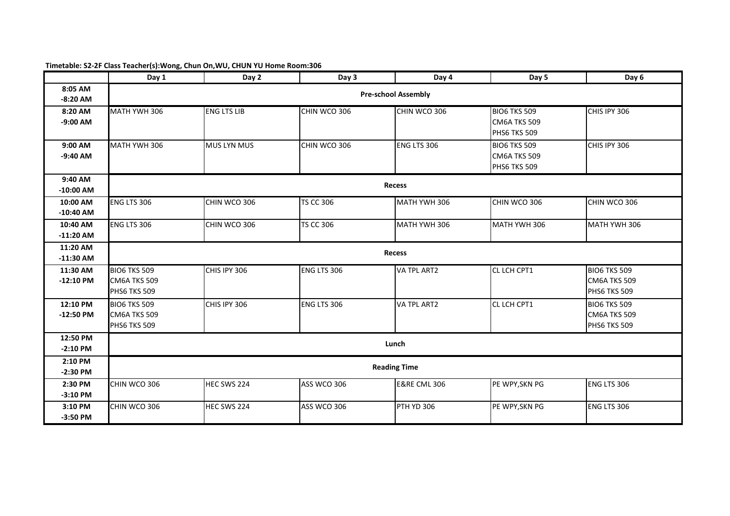## **Timetable: S2-2F Class Teacher(s):Wong, Chun On,WU, CHUN YU Home Room:306**

|             | Day 1               | Day 2                      | Day 3              | Day 4                   | Day 5               | Day 6               |  |  |  |  |
|-------------|---------------------|----------------------------|--------------------|-------------------------|---------------------|---------------------|--|--|--|--|
| 8:05 AM     |                     | <b>Pre-school Assembly</b> |                    |                         |                     |                     |  |  |  |  |
| $-8:20$ AM  |                     |                            |                    |                         |                     |                     |  |  |  |  |
| 8:20 AM     | MATH YWH 306        | <b>ENG LTS LIB</b>         | CHIN WCO 306       | CHIN WCO 306            | <b>BIO6 TKS 509</b> | CHIS IPY 306        |  |  |  |  |
| $-9:00$ AM  |                     |                            |                    |                         | <b>CM6A TKS 509</b> |                     |  |  |  |  |
|             |                     |                            |                    |                         | PHS6 TKS 509        |                     |  |  |  |  |
| 9:00 AM     | MATH YWH 306        | <b>MUS LYN MUS</b>         | CHIN WCO 306       | <b>ENG LTS 306</b>      | <b>BIO6 TKS 509</b> | CHIS IPY 306        |  |  |  |  |
| $-9:40$ AM  |                     |                            |                    |                         | CM6A TKS 509        |                     |  |  |  |  |
|             |                     |                            |                    |                         | PHS6 TKS 509        |                     |  |  |  |  |
| 9:40 AM     |                     |                            |                    |                         |                     |                     |  |  |  |  |
| $-10:00$ AM |                     |                            |                    | <b>Recess</b>           |                     |                     |  |  |  |  |
| 10:00 AM    | ENG LTS 306         | CHIN WCO 306               | <b>TS CC 306</b>   | MATH YWH 306            | CHIN WCO 306        | CHIN WCO 306        |  |  |  |  |
| $-10:40$ AM |                     |                            |                    |                         |                     |                     |  |  |  |  |
| 10:40 AM    | ENG LTS 306         | CHIN WCO 306               | <b>TS CC 306</b>   | MATH YWH 306            | MATH YWH 306        | MATH YWH 306        |  |  |  |  |
| $-11:20$ AM |                     |                            |                    |                         |                     |                     |  |  |  |  |
| 11:20 AM    | <b>Recess</b>       |                            |                    |                         |                     |                     |  |  |  |  |
| $-11:30$ AM |                     |                            |                    |                         |                     |                     |  |  |  |  |
| 11:30 AM    | <b>BIO6 TKS 509</b> | CHIS IPY 306               | ENG LTS 306        | VA TPL ART2             | CL LCH CPT1         | <b>BIO6 TKS 509</b> |  |  |  |  |
| $-12:10$ PM | <b>CM6A TKS 509</b> |                            |                    |                         |                     | CM6A TKS 509        |  |  |  |  |
|             | PHS6 TKS 509        |                            |                    |                         |                     | PHS6 TKS 509        |  |  |  |  |
| 12:10 PM    | <b>BIO6 TKS 509</b> | CHIS IPY 306               | <b>ENG LTS 306</b> | <b>VA TPL ART2</b>      | CL LCH CPT1         | <b>BIO6 TKS 509</b> |  |  |  |  |
| $-12:50$ PM | <b>CM6A TKS 509</b> |                            |                    |                         |                     | CM6A TKS 509        |  |  |  |  |
|             | <b>PHS6 TKS 509</b> |                            |                    |                         |                     | PHS6 TKS 509        |  |  |  |  |
| 12:50 PM    |                     |                            |                    | Lunch                   |                     |                     |  |  |  |  |
| $-2:10$ PM  |                     |                            |                    |                         |                     |                     |  |  |  |  |
| 2:10 PM     |                     |                            |                    | <b>Reading Time</b>     |                     |                     |  |  |  |  |
| $-2:30$ PM  |                     |                            |                    |                         |                     |                     |  |  |  |  |
| 2:30 PM     | CHIN WCO 306        | HEC SWS 224                | ASS WCO 306        | <b>E&amp;RE CML 306</b> | PE WPY, SKN PG      | ENG LTS 306         |  |  |  |  |
| $-3:10$ PM  |                     |                            |                    |                         |                     |                     |  |  |  |  |
| 3:10 PM     | CHIN WCO 306        | HEC SWS 224                | ASS WCO 306        | PTH YD 306              | PE WPY, SKN PG      | ENG LTS 306         |  |  |  |  |
| $-3:50$ PM  |                     |                            |                    |                         |                     |                     |  |  |  |  |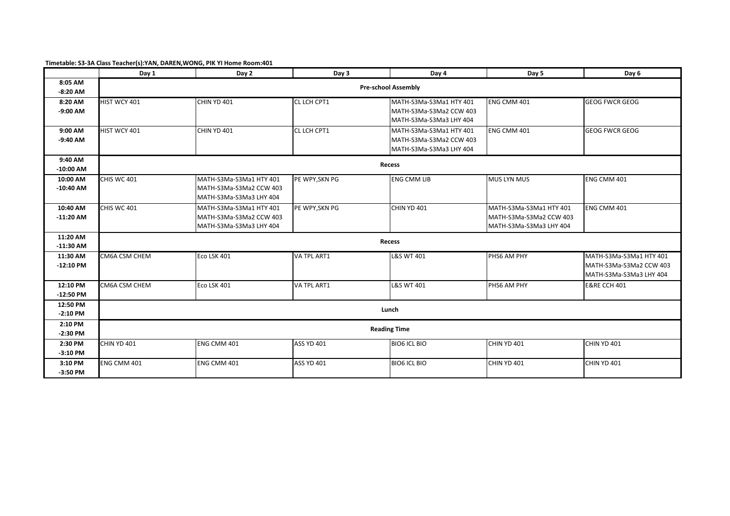|             | Day 1               | Day 2                      | Day 3             | Day 4                   | Day 5                   | Day 6                   |  |  |  |
|-------------|---------------------|----------------------------|-------------------|-------------------------|-------------------------|-------------------------|--|--|--|
| 8:05 AM     |                     | <b>Pre-school Assembly</b> |                   |                         |                         |                         |  |  |  |
| $-8:20$ AM  |                     |                            |                   |                         |                         |                         |  |  |  |
| 8:20 AM     | HIST WCY 401        | CHIN YD 401                | CL LCH CPT1       | MATH-S3Ma-S3Ma1 HTY 401 | ENG CMM 401             | <b>GEOG FWCR GEOG</b>   |  |  |  |
| $-9:00$ AM  |                     |                            |                   | MATH-S3Ma-S3Ma2 CCW 403 |                         |                         |  |  |  |
|             |                     |                            |                   | MATH-S3Ma-S3Ma3 LHY 404 |                         |                         |  |  |  |
| 9:00 AM     | HIST WCY 401        | CHIN YD 401                | CL LCH CPT1       | MATH-S3Ma-S3Ma1 HTY 401 | ENG CMM 401             | <b>GEOG FWCR GEOG</b>   |  |  |  |
| $-9:40$ AM  |                     |                            |                   | MATH-S3Ma-S3Ma2 CCW 403 |                         |                         |  |  |  |
|             |                     |                            |                   | MATH-S3Ma-S3Ma3 LHY 404 |                         |                         |  |  |  |
| 9:40 AM     |                     |                            |                   |                         |                         |                         |  |  |  |
| $-10:00$ AM |                     |                            |                   | Recess                  |                         |                         |  |  |  |
| 10:00 AM    | <b>CHIS WC 401</b>  | MATH-S3Ma-S3Ma1 HTY 401    | PE WPY, SKN PG    | <b>ENG CMM LIB</b>      | <b>MUS LYN MUS</b>      | ENG CMM 401             |  |  |  |
| $-10:40$ AM |                     | MATH-S3Ma-S3Ma2 CCW 403    |                   |                         |                         |                         |  |  |  |
|             |                     | MATH-S3Ma-S3Ma3 LHY 404    |                   |                         |                         |                         |  |  |  |
| 10:40 AM    | <b>CHIS WC 401</b>  | MATH-S3Ma-S3Ma1 HTY 401    | PE WPY, SKN PG    | CHIN YD 401             | MATH-S3Ma-S3Ma1 HTY 401 | ENG CMM 401             |  |  |  |
| $-11:20$ AM |                     | MATH-S3Ma-S3Ma2 CCW 403    |                   |                         | MATH-S3Ma-S3Ma2 CCW 403 |                         |  |  |  |
|             |                     | MATH-S3Ma-S3Ma3 LHY 404    |                   |                         | MATH-S3Ma-S3Ma3 LHY 404 |                         |  |  |  |
| 11:20 AM    |                     |                            |                   | Recess                  |                         |                         |  |  |  |
| $-11:30$ AM |                     |                            |                   |                         |                         |                         |  |  |  |
| 11:30 AM    | CM6A CSM CHEM       | Eco LSK 401                | VA TPL ART1       | <b>L&amp;S WT 401</b>   | PHS6 AM PHY             | MATH-S3Ma-S3Ma1 HTY 401 |  |  |  |
| $-12:10$ PM |                     |                            |                   |                         |                         | MATH-S3Ma-S3Ma2 CCW 403 |  |  |  |
|             |                     |                            |                   |                         |                         | MATH-S3Ma-S3Ma3 LHY 404 |  |  |  |
| 12:10 PM    | CM6A CSM CHEM       | Eco LSK 401                | VA TPL ART1       | <b>L&amp;S WT 401</b>   | PHS6 AM PHY             | <b>E&amp;RE CCH 401</b> |  |  |  |
| $-12:50$ PM |                     |                            |                   |                         |                         |                         |  |  |  |
| 12:50 PM    |                     |                            |                   | Lunch                   |                         |                         |  |  |  |
| $-2:10$ PM  |                     |                            |                   |                         |                         |                         |  |  |  |
| 2:10 PM     | <b>Reading Time</b> |                            |                   |                         |                         |                         |  |  |  |
| $-2:30$ PM  |                     |                            |                   |                         |                         |                         |  |  |  |
| 2:30 PM     | <b>CHIN YD 401</b>  | ENG CMM 401                | <b>ASS YD 401</b> | <b>BIO6 ICL BIO</b>     | CHIN YD 401             | CHIN YD 401             |  |  |  |
| $-3:10$ PM  |                     |                            |                   |                         |                         |                         |  |  |  |
| 3:10 PM     | ENG CMM 401         | ENG CMM 401                | <b>ASS YD 401</b> | <b>BIO6 ICL BIO</b>     | CHIN YD 401             | CHIN YD 401             |  |  |  |
| $-3:50$ PM  |                     |                            |                   |                         |                         |                         |  |  |  |

**Timetable: S3-3A Class Teacher(s):YAN, DAREN,WONG, PIK YI Home Room:401**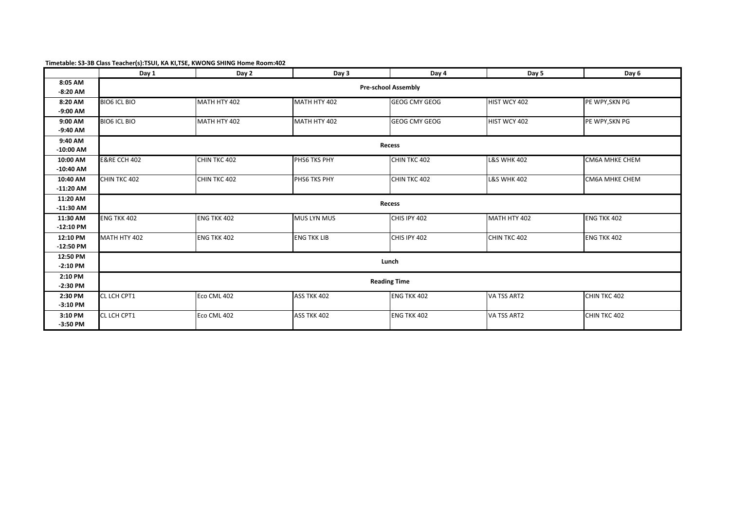| Timetable: S3-3B Class Teacher(s):TSUI, KA KI, TSE, KWONG SHING Home Room:402 |
|-------------------------------------------------------------------------------|
|-------------------------------------------------------------------------------|

|                         | Day 1                   | Day 2                      | Day 3              | Day 4                | Day 5                  | Day 6                 |  |  |  |
|-------------------------|-------------------------|----------------------------|--------------------|----------------------|------------------------|-----------------------|--|--|--|
| 8:05 AM<br>$-8:20$ AM   |                         | <b>Pre-school Assembly</b> |                    |                      |                        |                       |  |  |  |
| 8:20 AM<br>$-9:00$ AM   | <b>BIO6 ICL BIO</b>     | MATH HTY 402               | MATH HTY 402       | <b>GEOG CMY GEOG</b> | HIST WCY 402           | PE WPY, SKN PG        |  |  |  |
| 9:00 AM<br>$-9:40$ AM   | <b>BIO6 ICL BIO</b>     | MATH HTY 402               | MATH HTY 402       | <b>GEOG CMY GEOG</b> | HIST WCY 402           | PE WPY, SKN PG        |  |  |  |
| 9:40 AM<br>$-10:00$ AM  |                         |                            |                    | Recess               |                        |                       |  |  |  |
| 10:00 AM<br>$-10:40$ AM | <b>E&amp;RE CCH 402</b> | CHIN TKC 402               | PHS6 TKS PHY       | CHIN TKC 402         | <b>L&amp;S WHK 402</b> | <b>CM6A MHKE CHEM</b> |  |  |  |
| 10:40 AM<br>$-11:20$ AM | CHIN TKC 402            | CHIN TKC 402               | PHS6 TKS PHY       | CHIN TKC 402         | <b>L&amp;S WHK 402</b> | <b>CM6A MHKE CHEM</b> |  |  |  |
| 11:20 AM<br>$-11:30$ AM |                         |                            |                    | Recess               |                        |                       |  |  |  |
| 11:30 AM<br>$-12:10$ PM | ENG TKK 402             | ENG TKK 402                | MUS LYN MUS        | CHIS IPY 402         | MATH HTY 402           | ENG TKK 402           |  |  |  |
| 12:10 PM<br>$-12:50$ PM | MATH HTY 402            | <b>ENG TKK 402</b>         | <b>ENG TKK LIB</b> | CHIS IPY 402         | CHIN TKC 402           | <b>ENG TKK 402</b>    |  |  |  |
| 12:50 PM<br>$-2:10$ PM  | Lunch                   |                            |                    |                      |                        |                       |  |  |  |
| 2:10 PM<br>$-2:30$ PM   | <b>Reading Time</b>     |                            |                    |                      |                        |                       |  |  |  |
| 2:30 PM<br>$-3:10$ PM   | CL LCH CPT1             | Eco CML 402                | ASS TKK 402        | <b>ENG TKK 402</b>   | VA TSS ART2            | CHIN TKC 402          |  |  |  |
| 3:10 PM<br>$-3:50$ PM   | CL LCH CPT1             | Eco CML 402                | ASS TKK 402        | <b>ENG TKK 402</b>   | VA TSS ART2            | CHIN TKC 402          |  |  |  |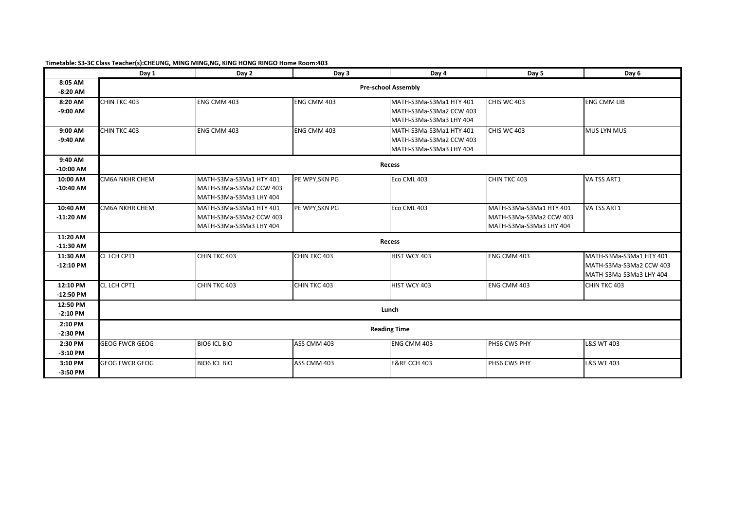|             | Day 1                      | Day 2                   | Day 3          | Day 4                   | Day 5                   | Day 6                   |  |  |
|-------------|----------------------------|-------------------------|----------------|-------------------------|-------------------------|-------------------------|--|--|
| 8:05 AM     | <b>Pre-school Assembly</b> |                         |                |                         |                         |                         |  |  |
| $-8:20$ AM  |                            |                         |                |                         |                         |                         |  |  |
| 8:20 AM     | CHIN TKC 403               | ENG CMM 403             | ENG CMM 403    | MATH-S3Ma-S3Ma1 HTY 401 | CHIS WC 403             | <b>ENG CMM LIB</b>      |  |  |
| $-9:00$ AM  |                            |                         |                | MATH-S3Ma-S3Ma2 CCW 403 |                         |                         |  |  |
|             |                            |                         |                | MATH-S3Ma-S3Ma3 LHY 404 |                         |                         |  |  |
| 9:00 AM     | CHIN TKC 403               | ENG CMM 403             | ENG CMM 403    | MATH-S3Ma-S3Ma1 HTY 401 | CHIS WC 403             | MUS LYN MUS             |  |  |
| $-9:40$ AM  |                            |                         |                | MATH-S3Ma-S3Ma2 CCW 403 |                         |                         |  |  |
|             |                            |                         |                | MATH-S3Ma-S3Ma3 LHY 404 |                         |                         |  |  |
| 9:40 AM     |                            |                         |                |                         |                         |                         |  |  |
| $-10:00$ AM |                            |                         |                | Recess                  |                         |                         |  |  |
| 10:00 AM    | CM6A NKHR CHEM             | MATH-S3Ma-S3Ma1 HTY 401 | PE WPY, SKN PG | Eco CML 403             | CHIN TKC 403            | VA TSS ART1             |  |  |
| $-10:40$ AM |                            | MATH-S3Ma-S3Ma2 CCW 403 |                |                         |                         |                         |  |  |
|             |                            | MATH-S3Ma-S3Ma3 LHY 404 |                |                         |                         |                         |  |  |
| 10:40 AM    | CM6A NKHR CHEM             | MATH-S3Ma-S3Ma1 HTY 401 | PE WPY, SKN PG | Eco CML 403             | MATH-S3Ma-S3Ma1 HTY 401 | VA TSS ART1             |  |  |
| $-11:20$ AM |                            | MATH-S3Ma-S3Ma2 CCW 403 |                |                         | MATH-S3Ma-S3Ma2 CCW 403 |                         |  |  |
|             |                            | MATH-S3Ma-S3Ma3 LHY 404 |                |                         | MATH-S3Ma-S3Ma3 LHY 404 |                         |  |  |
| 11:20 AM    |                            |                         |                | Recess                  |                         |                         |  |  |
| $-11:30$ AM |                            |                         |                |                         |                         |                         |  |  |
| 11:30 AM    | CL LCH CPT1                | CHIN TKC 403            | CHIN TKC 403   | HIST WCY 403            | <b>ENG CMM 403</b>      | MATH-S3Ma-S3Ma1 HTY 401 |  |  |
| $-12:10$ PM |                            |                         |                |                         |                         | MATH-S3Ma-S3Ma2 CCW 403 |  |  |
|             |                            |                         |                |                         |                         | MATH-S3Ma-S3Ma3 LHY 404 |  |  |
| 12:10 PM    | CL LCH CPT1                | CHIN TKC 403            | CHIN TKC 403   | HIST WCY 403            | <b>ENG CMM 403</b>      | CHIN TKC 403            |  |  |
| $-12:50$ PM |                            |                         |                |                         |                         |                         |  |  |
| 12:50 PM    |                            |                         |                |                         |                         |                         |  |  |
| $-2:10$ PM  | Lunch                      |                         |                |                         |                         |                         |  |  |
| 2:10 PM     | <b>Reading Time</b>        |                         |                |                         |                         |                         |  |  |
| $-2:30$ PM  |                            |                         |                |                         |                         |                         |  |  |
| 2:30 PM     | <b>GEOG FWCR GEOG</b>      | <b>BIO6 ICL BIO</b>     | ASS CMM 403    | ENG CMM 403             | PHS6 CWS PHY            | <b>L&amp;S WT 403</b>   |  |  |
| $-3:10$ PM  |                            |                         |                |                         |                         |                         |  |  |
| 3:10 PM     | <b>GEOG FWCR GEOG</b>      | <b>BIO6 ICL BIO</b>     | ASS CMM 403    | <b>E&amp;RE CCH 403</b> | PHS6 CWS PHY            | <b>L&amp;S WT 403</b>   |  |  |
| $-3:50$ PM  |                            |                         |                |                         |                         |                         |  |  |

**Timetable: S3-3C Class Teacher(s):CHEUNG, MING MING,NG, KING HONG RINGO Home Room:403**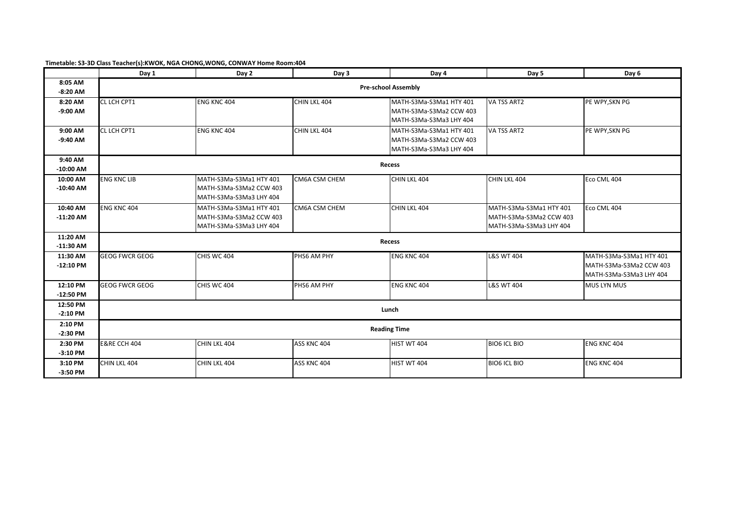|                         | Day 1                      | Day 2                                                                         | Day 3         | Day 4                                                                         | Day 5                                                                         | Day 6                                                                         |  |  |
|-------------------------|----------------------------|-------------------------------------------------------------------------------|---------------|-------------------------------------------------------------------------------|-------------------------------------------------------------------------------|-------------------------------------------------------------------------------|--|--|
| 8:05 AM<br>$-8:20$ AM   | <b>Pre-school Assembly</b> |                                                                               |               |                                                                               |                                                                               |                                                                               |  |  |
| 8:20 AM<br>$-9:00$ AM   | CL LCH CPT1                | ENG KNC 404                                                                   | CHIN LKL 404  | MATH-S3Ma-S3Ma1 HTY 401<br>MATH-S3Ma-S3Ma2 CCW 403<br>MATH-S3Ma-S3Ma3 LHY 404 | VA TSS ART2                                                                   | PE WPY, SKN PG                                                                |  |  |
| 9:00 AM<br>$-9:40$ AM   | CL LCH CPT1                | ENG KNC 404                                                                   | CHIN LKL 404  | MATH-S3Ma-S3Ma1 HTY 401<br>MATH-S3Ma-S3Ma2 CCW 403<br>MATH-S3Ma-S3Ma3 LHY 404 | VA TSS ART2                                                                   | PE WPY, SKN PG                                                                |  |  |
| 9:40 AM<br>$-10:00$ AM  |                            |                                                                               |               | <b>Recess</b>                                                                 |                                                                               |                                                                               |  |  |
| 10:00 AM<br>$-10:40$ AM | <b>ENG KNC LIB</b>         | MATH-S3Ma-S3Ma1 HTY 401<br>MATH-S3Ma-S3Ma2 CCW 403<br>MATH-S3Ma-S3Ma3 LHY 404 | CM6A CSM CHEM | CHIN LKL 404                                                                  | CHIN LKL 404                                                                  | Eco CML 404                                                                   |  |  |
| 10:40 AM<br>$-11:20$ AM | <b>ENG KNC 404</b>         | MATH-S3Ma-S3Ma1 HTY 401<br>MATH-S3Ma-S3Ma2 CCW 403<br>MATH-S3Ma-S3Ma3 LHY 404 | CM6A CSM CHEM | CHIN LKL 404                                                                  | MATH-S3Ma-S3Ma1 HTY 401<br>MATH-S3Ma-S3Ma2 CCW 403<br>MATH-S3Ma-S3Ma3 LHY 404 | Eco CML 404                                                                   |  |  |
| 11:20 AM<br>$-11:30$ AM |                            |                                                                               |               | Recess                                                                        |                                                                               |                                                                               |  |  |
| 11:30 AM<br>$-12:10$ PM | <b>GEOG FWCR GEOG</b>      | CHIS WC 404                                                                   | PHS6 AM PHY   | <b>ENG KNC 404</b>                                                            | <b>L&amp;S WT 404</b>                                                         | MATH-S3Ma-S3Ma1 HTY 401<br>MATH-S3Ma-S3Ma2 CCW 403<br>MATH-S3Ma-S3Ma3 LHY 404 |  |  |
| 12:10 PM<br>$-12:50$ PM | <b>GEOG FWCR GEOG</b>      | CHIS WC 404                                                                   | PHS6 AM PHY   | <b>ENG KNC 404</b>                                                            | <b>L&amp;S WT 404</b>                                                         | <b>MUS LYN MUS</b>                                                            |  |  |
| 12:50 PM<br>$-2:10$ PM  | Lunch                      |                                                                               |               |                                                                               |                                                                               |                                                                               |  |  |
| 2:10 PM<br>$-2:30$ PM   | <b>Reading Time</b>        |                                                                               |               |                                                                               |                                                                               |                                                                               |  |  |
| 2:30 PM<br>$-3:10$ PM   | <b>E&amp;RE CCH 404</b>    | CHIN LKL 404                                                                  | ASS KNC 404   | HIST WT 404                                                                   | <b>BIO6 ICL BIO</b>                                                           | ENG KNC 404                                                                   |  |  |
| 3:10 PM<br>$-3:50$ PM   | CHIN LKL 404               | CHIN LKL 404                                                                  | ASS KNC 404   | HIST WT 404                                                                   | <b>BIO6 ICL BIO</b>                                                           | ENG KNC 404                                                                   |  |  |

**Timetable: S3-3D Class Teacher(s):KWOK, NGA CHONG,WONG, CONWAY Home Room:404**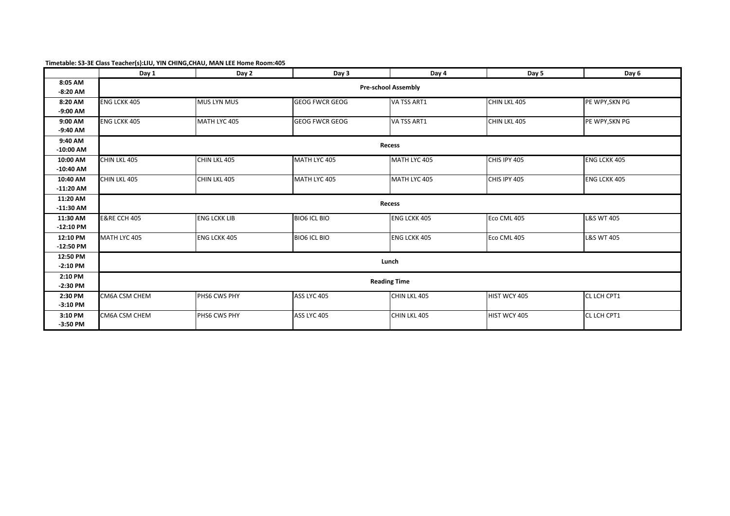| Timetable: S3-3E Class Teacher(s):LIU, YIN CHING, CHAU, MAN LEE Home Room: 405 |  |
|--------------------------------------------------------------------------------|--|
|--------------------------------------------------------------------------------|--|

|                         | Day 1                      | Day 2               | Day 3                 | Day 4               | Day 5        | Day 6                 |  |  |
|-------------------------|----------------------------|---------------------|-----------------------|---------------------|--------------|-----------------------|--|--|
| 8:05 AM<br>$-8:20$ AM   | <b>Pre-school Assembly</b> |                     |                       |                     |              |                       |  |  |
| 8:20 AM<br>$-9:00$ AM   | <b>ENG LCKK 405</b>        | MUS LYN MUS         | <b>GEOG FWCR GEOG</b> | VA TSS ART1         | CHIN LKL 405 | PE WPY, SKN PG        |  |  |
| 9:00 AM                 | <b>ENG LCKK 405</b>        | MATH LYC 405        | <b>GEOG FWCR GEOG</b> | VA TSS ART1         | CHIN LKL 405 | PE WPY, SKN PG        |  |  |
| $-9:40$ AM<br>9:40 AM   |                            |                     |                       |                     |              |                       |  |  |
| $-10:00$ AM             |                            |                     |                       | <b>Recess</b>       |              |                       |  |  |
| 10:00 AM<br>$-10:40$ AM | CHIN LKL 405               | CHIN LKL 405        | MATH LYC 405          | MATH LYC 405        | CHIS IPY 405 | <b>ENG LCKK 405</b>   |  |  |
| 10:40 AM<br>$-11:20$ AM | CHIN LKL 405               | CHIN LKL 405        | MATH LYC 405          | MATH LYC 405        | CHIS IPY 405 | <b>ENG LCKK 405</b>   |  |  |
| 11:20 AM<br>$-11:30$ AM |                            |                     |                       | Recess              |              |                       |  |  |
| 11:30 AM<br>$-12:10$ PM | <b>E&amp;RE CCH 405</b>    | <b>ENG LCKK LIB</b> | <b>BIO6 ICL BIO</b>   | <b>ENG LCKK 405</b> | Eco CML 405  | <b>L&amp;S WT 405</b> |  |  |
| 12:10 PM<br>$-12:50$ PM | MATH LYC 405               | ENG LCKK 405        | <b>BIO6 ICL BIO</b>   | <b>ENG LCKK 405</b> | Eco CML 405  | <b>L&amp;S WT 405</b> |  |  |
| 12:50 PM<br>$-2:10$ PM  | Lunch                      |                     |                       |                     |              |                       |  |  |
| 2:10 PM<br>$-2:30$ PM   | <b>Reading Time</b>        |                     |                       |                     |              |                       |  |  |
| 2:30 PM<br>$-3:10$ PM   | CM6A CSM CHEM              | PHS6 CWS PHY        | ASS LYC 405           | CHIN LKL 405        | HIST WCY 405 | CL LCH CPT1           |  |  |
| 3:10 PM<br>$-3:50$ PM   | CM6A CSM CHEM              | PHS6 CWS PHY        | ASS LYC 405           | CHIN LKL 405        | HIST WCY 405 | CL LCH CPT1           |  |  |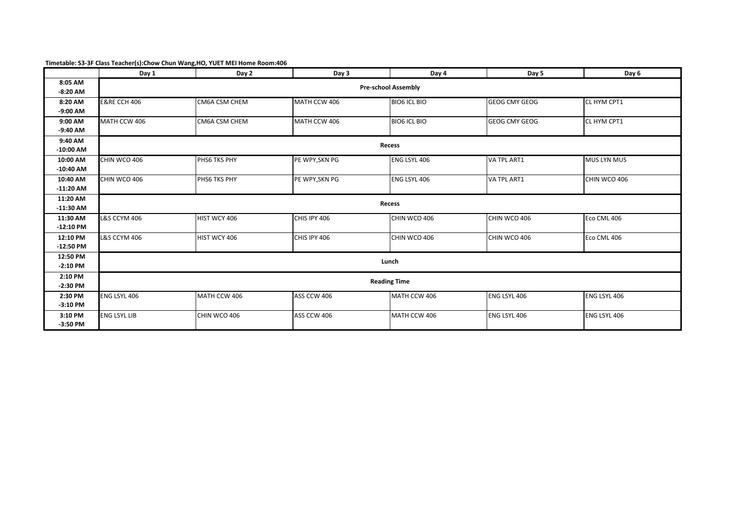| Timetable: S3-3F Class Teacher(s):Chow Chun Wang, HO, YUET MEI Home Room:406 |  |
|------------------------------------------------------------------------------|--|
|------------------------------------------------------------------------------|--|

|                         | Day 1                   | Day 2                      | Day 3          | Day 4               | Day 5                | Day 6              |  |  |  |
|-------------------------|-------------------------|----------------------------|----------------|---------------------|----------------------|--------------------|--|--|--|
| 8:05 AM<br>$-8:20$ AM   |                         | <b>Pre-school Assembly</b> |                |                     |                      |                    |  |  |  |
| 8:20 AM<br>$-9:00$ AM   | <b>E&amp;RE CCH 406</b> | CM6A CSM CHEM              | MATH CCW 406   | <b>BIO6 ICL BIO</b> | <b>GEOG CMY GEOG</b> | CL HYM CPT1        |  |  |  |
| 9:00 AM<br>$-9:40$ AM   | MATH CCW 406            | CM6A CSM CHEM              | MATH CCW 406   | <b>BIO6 ICL BIO</b> | <b>GEOG CMY GEOG</b> | CL HYM CPT1        |  |  |  |
| 9:40 AM<br>$-10:00$ AM  |                         |                            |                | Recess              |                      |                    |  |  |  |
| 10:00 AM<br>$-10:40$ AM | CHIN WCO 406            | PHS6 TKS PHY               | PE WPY, SKN PG | ENG LSYL 406        | VA TPL ART1          | <b>MUS LYN MUS</b> |  |  |  |
| 10:40 AM<br>$-11:20$ AM | CHIN WCO 406            | PHS6 TKS PHY               | PE WPY, SKN PG | ENG LSYL 406        | VA TPL ART1          | CHIN WCO 406       |  |  |  |
| 11:20 AM<br>$-11:30$ AM |                         |                            |                | <b>Recess</b>       |                      |                    |  |  |  |
| 11:30 AM<br>$-12:10$ PM | <b>L&amp;S CCYM 406</b> | HIST WCY 406               | CHIS IPY 406   | CHIN WCO 406        | CHIN WCO 406         | Eco CML 406        |  |  |  |
| 12:10 PM<br>$-12:50$ PM | <b>L&amp;S CCYM 406</b> | HIST WCY 406               | CHIS IPY 406   | CHIN WCO 406        | CHIN WCO 406         | Eco CML 406        |  |  |  |
| 12:50 PM<br>$-2:10$ PM  | Lunch                   |                            |                |                     |                      |                    |  |  |  |
| 2:10 PM<br>$-2:30$ PM   | <b>Reading Time</b>     |                            |                |                     |                      |                    |  |  |  |
| 2:30 PM<br>$-3:10$ PM   | ENG LSYL 406            | MATH CCW 406               | ASS CCW 406    | MATH CCW 406        | <b>ENG LSYL 406</b>  | ENG LSYL 406       |  |  |  |
| 3:10 PM<br>$-3:50$ PM   | <b>ENG LSYL LIB</b>     | CHIN WCO 406               | ASS CCW 406    | MATH CCW 406        | <b>ENG LSYL 406</b>  | ENG LSYL 406       |  |  |  |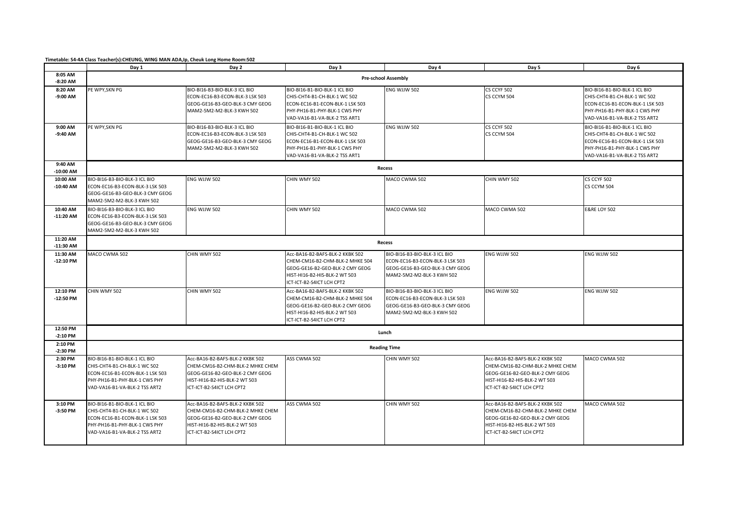**Timetable: S4-4A Class Teacher(s):CHEUNG, WING MAN ADA,Ip, Cheuk Long Home Room:502**

|                         | Day 1                                                                                                                                                              | Day 2                                                                                                                                                                | Day 3                                                                                                                                                               | Day 4                                                                                                                            | Day 5                                                                                                                                                                | Day 6                                                                                                                                                              |
|-------------------------|--------------------------------------------------------------------------------------------------------------------------------------------------------------------|----------------------------------------------------------------------------------------------------------------------------------------------------------------------|---------------------------------------------------------------------------------------------------------------------------------------------------------------------|----------------------------------------------------------------------------------------------------------------------------------|----------------------------------------------------------------------------------------------------------------------------------------------------------------------|--------------------------------------------------------------------------------------------------------------------------------------------------------------------|
| 8:05 AM<br>$-8:20$ AM   |                                                                                                                                                                    |                                                                                                                                                                      |                                                                                                                                                                     | Pre-school Assembly                                                                                                              |                                                                                                                                                                      |                                                                                                                                                                    |
| 8:20 AM<br>$-9:00$ AM   | PE WPY, SKN PG                                                                                                                                                     | BIO-BI16-B3-BIO-BLK-3 ICL BIO<br>ECON-EC16-B3-ECON-BLK-3 LSK 503<br>GEOG-GE16-B3-GEO-BLK-3 CMY GEOG<br>MAM2-5M2-M2-BLK-3 KWH 502                                     | BIO-BI16-B1-BIO-BLK-1 ICL BIO<br>CHIS-CHT4-B1-CH-BLK-1 WC 502<br>ECON-EC16-B1-ECON-BLK-1 LSK 503<br>PHY-PH16-B1-PHY-BLK-1 CWS PHY<br>VAD-VA16-B1-VA-BLK-2 TSS ART1  | ENG WJJW 502                                                                                                                     | CS CCYF 502<br>CS CCYM 504                                                                                                                                           | BIO-BI16-B1-BIO-BLK-1 ICL BIO<br>CHIS-CHT4-B1-CH-BLK-1 WC 502<br>ECON-EC16-B1-ECON-BLK-1 LSK 503<br>PHY-PH16-B1-PHY-BLK-1 CWS PHY<br>VAD-VA16-B1-VA-BLK-2 TSS ART2 |
| 9:00 AM<br>-9:40 AM     | PE WPY, SKN PG                                                                                                                                                     | BIO-BI16-B3-BIO-BLK-3 ICL BIO<br>ECON-EC16-B3-ECON-BLK-3 LSK 503<br>GEOG-GE16-B3-GEO-BLK-3 CMY GEOG<br>MAM2-5M2-M2-BLK-3 KWH 502                                     | BIO-BI16-B1-BIO-BLK-1 ICL BIO<br>CHIS-CHT4-B1-CH-BLK-1 WC 502<br>ECON-EC16-B1-ECON-BLK-1 LSK 503<br>PHY-PH16-B1-PHY-BLK-1 CWS PHY<br>VAD-VA16-B1-VA-BLK-2 TSS ART1  | ENG WJJW 502                                                                                                                     | CS CCYF 502<br>CS CCYM 504                                                                                                                                           | BIO-BI16-B1-BIO-BLK-1 ICL BIO<br>CHIS-CHT4-B1-CH-BLK-1 WC 502<br>ECON-EC16-B1-ECON-BLK-1 LSK 503<br>PHY-PH16-B1-PHY-BLK-1 CWS PHY<br>VAD-VA16-B1-VA-BLK-2 TSS ART2 |
| 9:40 AM<br>$-10:00$ AM  |                                                                                                                                                                    |                                                                                                                                                                      |                                                                                                                                                                     | Recess                                                                                                                           |                                                                                                                                                                      |                                                                                                                                                                    |
| 10:00 AM<br>$-10:40$ AM | BIO-BI16-B3-BIO-BLK-3 ICL BIO<br>ECON-EC16-B3-ECON-BLK-3 LSK 503<br>GEOG-GE16-B3-GEO-BLK-3 CMY GEOG<br>MAM2-5M2-M2-BLK-3 KWH 502                                   | ENG WJJW 502                                                                                                                                                         | CHIN WMY 502                                                                                                                                                        | MACO CWMA 502                                                                                                                    | CHIN WMY 502                                                                                                                                                         | CS CCYF 502<br>CS CCYM 504                                                                                                                                         |
| 10:40 AM<br>$-11:20$ AM | BIO-BI16-B3-BIO-BLK-3 ICL BIO<br>ECON-EC16-B3-ECON-BLK-3 LSK 503<br>GEOG-GE16-B3-GEO-BLK-3 CMY GEOG<br>MAM2-5M2-M2-BLK-3 KWH 502                                   | ENG WJJW 502                                                                                                                                                         | CHIN WMY 502                                                                                                                                                        | MACO CWMA 502                                                                                                                    | MACO CWMA 502                                                                                                                                                        | <b>E&amp;RE LOY 502</b>                                                                                                                                            |
| 11:20 AM<br>$-11:30$ AM |                                                                                                                                                                    |                                                                                                                                                                      |                                                                                                                                                                     | Recess                                                                                                                           |                                                                                                                                                                      |                                                                                                                                                                    |
| 11:30 AM<br>$-12:10$ PM | MACO CWMA 502                                                                                                                                                      | CHIN WMY 502                                                                                                                                                         | Acc-BA16-B2-BAFS-BLK-2 KKBK 502<br>CHEM-CM16-B2-CHM-BLK-2 MHKE 504<br>GEOG-GE16-B2-GEO-BLK-2 CMY GEOG<br>HIST-HI16-B2-HIS-BLK-2 WT 503<br>ICT-ICT-B2-S4ICT LCH CPT2 | BIO-BI16-B3-BIO-BLK-3 ICL BIO<br>ECON-EC16-B3-ECON-BLK-3 LSK 503<br>GEOG-GE16-B3-GEO-BLK-3 CMY GEOG<br>MAM2-5M2-M2-BLK-3 KWH 502 | ENG WJJW 502                                                                                                                                                         | ENG WJJW 502                                                                                                                                                       |
| 12:10 PM<br>$-12:50$ PM | CHIN WMY 502                                                                                                                                                       | CHIN WMY 502                                                                                                                                                         | Acc-BA16-B2-BAFS-BLK-2 KKBK 502<br>CHEM-CM16-B2-CHM-BLK-2 MHKE 504<br>GEOG-GE16-B2-GEO-BLK-2 CMY GEOG<br>HIST-HI16-B2-HIS-BLK-2 WT 503<br>ICT-ICT-B2-S4ICT LCH CPT2 | BIO-BI16-B3-BIO-BLK-3 ICL BIO<br>ECON-EC16-B3-ECON-BLK-3 LSK 503<br>GEOG-GE16-B3-GEO-BLK-3 CMY GEOG<br>MAM2-5M2-M2-BLK-3 KWH 502 | ENG WJJW 502                                                                                                                                                         | ENG WJJW 502                                                                                                                                                       |
| 12:50 PM<br>$-2:10$ PM  |                                                                                                                                                                    |                                                                                                                                                                      |                                                                                                                                                                     | Lunch                                                                                                                            |                                                                                                                                                                      |                                                                                                                                                                    |
| 2:10 PM<br>$-2:30$ PM   |                                                                                                                                                                    |                                                                                                                                                                      |                                                                                                                                                                     | <b>Reading Time</b>                                                                                                              |                                                                                                                                                                      |                                                                                                                                                                    |
| 2:30 PM<br>$-3:10$ PM   | BIO-BI16-B1-BIO-BLK-1 ICL BIO<br>CHIS-CHT4-B1-CH-BLK-1 WC 502<br>ECON-EC16-B1-ECON-BLK-1 LSK 503<br>PHY-PH16-B1-PHY-BLK-1 CWS PHY<br>VAD-VA16-B1-VA-BLK-2 TSS ART2 | Acc-BA16-B2-BAFS-BLK-2 KKBK 502<br>CHEM-CM16-B2-CHM-BLK-2 MHKE CHEM<br>GEOG-GE16-B2-GEO-BLK-2 CMY GEOG<br>HIST-HI16-B2-HIS-BLK-2 WT 503<br>ICT-ICT-B2-S4ICT LCH CPT2 | ASS CWMA 502                                                                                                                                                        | CHIN WMY 502                                                                                                                     | Acc-BA16-B2-BAFS-BLK-2 KKBK 502<br>CHEM-CM16-B2-CHM-BLK-2 MHKE CHEM<br>GEOG-GE16-B2-GEO-BLK-2 CMY GEOG<br>HIST-HI16-B2-HIS-BLK-2 WT 503<br>ICT-ICT-B2-S4ICT LCH CPT2 | MACO CWMA 502                                                                                                                                                      |
| 3:10 PM<br>$-3:50$ PM   | BIO-BI16-B1-BIO-BLK-1 ICL BIO<br>CHIS-CHT4-B1-CH-BLK-1 WC 502<br>ECON-EC16-B1-ECON-BLK-1 LSK 503<br>PHY-PH16-B1-PHY-BLK-1 CWS PHY<br>VAD-VA16-B1-VA-BLK-2 TSS ART2 | Acc-BA16-B2-BAFS-BLK-2 KKBK 502<br>CHEM-CM16-B2-CHM-BLK-2 MHKE CHEM<br>GEOG-GE16-B2-GEO-BLK-2 CMY GEOG<br>HIST-HI16-B2-HIS-BLK-2 WT 503<br>ICT-ICT-B2-S4ICT LCH CPT2 | ASS CWMA 502                                                                                                                                                        | CHIN WMY 502                                                                                                                     | Acc-BA16-B2-BAFS-BLK-2 KKBK 502<br>CHEM-CM16-B2-CHM-BLK-2 MHKE CHEM<br>GEOG-GE16-B2-GEO-BLK-2 CMY GEOG<br>HIST-HI16-B2-HIS-BLK-2 WT 503<br>ICT-ICT-B2-S4ICT LCH CPT2 | MACO CWMA 502                                                                                                                                                      |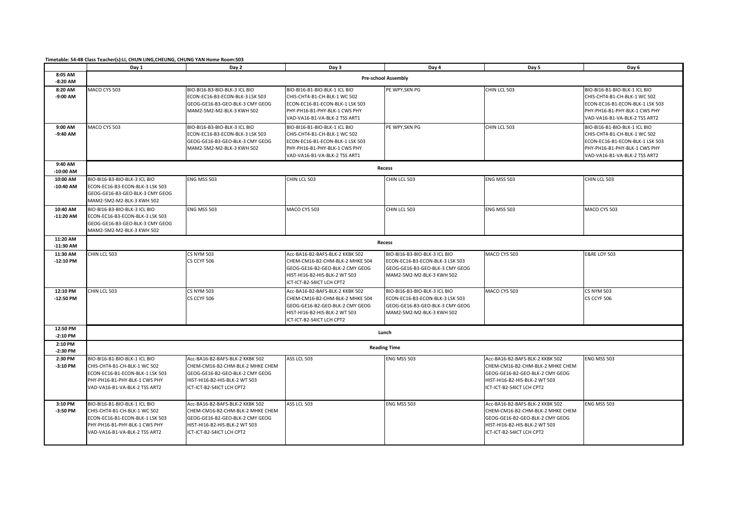**Timetable: S4-4B Class Teacher(s):LI, CHUN LING,CHEUNG, CHUNG YAN Home Room:503**

|                         | Day 1                                                                                                                                                              | Day 2                                                                                                                                                                | Day 3                                                                                                                                                               | Day 4                                                                                                                            | Day 5                                                                                                                                                                | Day 6                                                                                                                                                              |
|-------------------------|--------------------------------------------------------------------------------------------------------------------------------------------------------------------|----------------------------------------------------------------------------------------------------------------------------------------------------------------------|---------------------------------------------------------------------------------------------------------------------------------------------------------------------|----------------------------------------------------------------------------------------------------------------------------------|----------------------------------------------------------------------------------------------------------------------------------------------------------------------|--------------------------------------------------------------------------------------------------------------------------------------------------------------------|
| 8:05 AM<br>$-8:20$ AM   |                                                                                                                                                                    |                                                                                                                                                                      |                                                                                                                                                                     | <b>Pre-school Assembly</b>                                                                                                       |                                                                                                                                                                      |                                                                                                                                                                    |
| 8:20 AM<br>-9:00 AM     | MACO CYS 503                                                                                                                                                       | BIO-BI16-B3-BIO-BLK-3 ICL BIO<br>ECON-EC16-B3-ECON-BLK-3 LSK 503<br>GEOG-GE16-B3-GEO-BLK-3 CMY GEOG<br>MAM2-5M2-M2-BLK-3 KWH 502                                     | BIO-BI16-B1-BIO-BLK-1 ICL BIO<br>CHIS-CHT4-B1-CH-BLK-1 WC 502<br>ECON-EC16-B1-ECON-BLK-1 LSK 503<br>PHY-PH16-B1-PHY-BLK-1 CWS PHY<br>VAD-VA16-B1-VA-BLK-2 TSS ART1  | PE WPY, SKN PG                                                                                                                   | CHIN LCL 503                                                                                                                                                         | BIO-BI16-B1-BIO-BLK-1 ICL BIO<br>CHIS-CHT4-B1-CH-BLK-1 WC 502<br>ECON-EC16-B1-ECON-BLK-1 LSK 503<br>PHY-PH16-B1-PHY-BLK-1 CWS PHY<br>VAD-VA16-B1-VA-BLK-2 TSS ART2 |
| 9:00 AM<br>-9:40 AM     | MACO CYS 503                                                                                                                                                       | BIO-BI16-B3-BIO-BLK-3 ICL BIO<br>ECON-EC16-B3-ECON-BLK-3 LSK 503<br>GEOG-GE16-B3-GEO-BLK-3 CMY GEOG<br>MAM2-5M2-M2-BLK-3 KWH 502                                     | BIO-BI16-B1-BIO-BLK-1 ICL BIO<br>CHIS-CHT4-B1-CH-BLK-1 WC 502<br>ECON-EC16-B1-ECON-BLK-1 LSK 503<br>PHY-PH16-B1-PHY-BLK-1 CWS PHY<br>VAD-VA16-B1-VA-BLK-2 TSS ART1  | PE WPY, SKN PG                                                                                                                   | CHIN LCL 503                                                                                                                                                         | BIO-BI16-B1-BIO-BLK-1 ICL BIO<br>CHIS-CHT4-B1-CH-BLK-1 WC 502<br>ECON-EC16-B1-ECON-BLK-1 LSK 503<br>PHY-PH16-B1-PHY-BLK-1 CWS PHY<br>VAD-VA16-B1-VA-BLK-2 TSS ART2 |
| 9:40 AM<br>$-10:00$ AM  |                                                                                                                                                                    |                                                                                                                                                                      |                                                                                                                                                                     | Recess                                                                                                                           |                                                                                                                                                                      |                                                                                                                                                                    |
| 10:00 AM<br>$-10:40$ AM | BIO-BI16-B3-BIO-BLK-3 ICL BIO<br>ECON-EC16-B3-ECON-BLK-3 LSK 503<br>GEOG-GE16-B3-GEO-BLK-3 CMY GEOG<br>MAM2-5M2-M2-BLK-3 KWH 502                                   | ENG MSS 503                                                                                                                                                          | CHIN LCL 503                                                                                                                                                        | CHIN LCL 503                                                                                                                     | ENG MSS 503                                                                                                                                                          | CHIN LCL 503                                                                                                                                                       |
| 10:40 AM<br>$-11:20$ AM | BIO-BI16-B3-BIO-BLK-3 ICL BIO<br>ECON-EC16-B3-ECON-BLK-3 LSK 503<br>GEOG-GE16-B3-GEO-BLK-3 CMY GEOG<br>MAM2-5M2-M2-BLK-3 KWH 502                                   | ENG MSS 503                                                                                                                                                          | MACO CYS 503                                                                                                                                                        | CHIN LCL 503                                                                                                                     | ENG MSS 503                                                                                                                                                          | MACO CYS 503                                                                                                                                                       |
| 11:20 AM<br>$-11:30$ AM |                                                                                                                                                                    |                                                                                                                                                                      |                                                                                                                                                                     | Recess                                                                                                                           |                                                                                                                                                                      |                                                                                                                                                                    |
| 11:30 AM<br>$-12:10$ PM | CHIN LCL 503                                                                                                                                                       | <b>CS NYM 503</b><br>CS CCYF 506                                                                                                                                     | Acc-BA16-B2-BAFS-BLK-2 KKBK 502<br>CHEM-CM16-B2-CHM-BLK-2 MHKE 504<br>GEOG-GE16-B2-GEO-BLK-2 CMY GEOG<br>HIST-HI16-B2-HIS-BLK-2 WT 503<br>ICT-ICT-B2-S4ICT LCH CPT2 | BIO-BI16-B3-BIO-BLK-3 ICL BIO<br>ECON-EC16-B3-ECON-BLK-3 LSK 503<br>GEOG-GE16-B3-GEO-BLK-3 CMY GEOG<br>MAM2-5M2-M2-BLK-3 KWH 502 | MACO CYS 503                                                                                                                                                         | <b>E&amp;RE LOY 503</b>                                                                                                                                            |
| 12:10 PM<br>$-12:50$ PM | CHIN LCL 503                                                                                                                                                       | <b>CS NYM 503</b><br>CS CCYF 506                                                                                                                                     | Acc-BA16-B2-BAFS-BLK-2 KKBK 502<br>CHEM-CM16-B2-CHM-BLK-2 MHKE 504<br>GEOG-GE16-B2-GEO-BLK-2 CMY GEOG<br>HIST-HI16-B2-HIS-BLK-2 WT 503<br>ICT-ICT-B2-S4ICT LCH CPT2 | BIO-BI16-B3-BIO-BLK-3 ICL BIO<br>ECON-EC16-B3-ECON-BLK-3 LSK 503<br>GEOG-GE16-B3-GEO-BLK-3 CMY GEOG<br>MAM2-5M2-M2-BLK-3 KWH 502 | MACO CYS 503                                                                                                                                                         | <b>CS NYM 503</b><br>CS CCYF 506                                                                                                                                   |
| 12:50 PM<br>$-2:10$ PM  |                                                                                                                                                                    |                                                                                                                                                                      |                                                                                                                                                                     | Lunch                                                                                                                            |                                                                                                                                                                      |                                                                                                                                                                    |
| 2:10 PM<br>$-2:30$ PM   |                                                                                                                                                                    |                                                                                                                                                                      |                                                                                                                                                                     | <b>Reading Time</b>                                                                                                              |                                                                                                                                                                      |                                                                                                                                                                    |
| 2:30 PM<br>$-3:10$ PM   | BIO-BI16-B1-BIO-BLK-1 ICL BIO<br>CHIS-CHT4-B1-CH-BLK-1 WC 502<br>ECON-EC16-B1-ECON-BLK-1 LSK 503<br>PHY-PH16-B1-PHY-BLK-1 CWS PHY<br>VAD-VA16-B1-VA-BLK-2 TSS ART2 | Acc-BA16-B2-BAFS-BLK-2 KKBK 502<br>CHEM-CM16-B2-CHM-BLK-2 MHKE CHEM<br>GEOG-GE16-B2-GEO-BLK-2 CMY GEOG<br>HIST-HI16-B2-HIS-BLK-2 WT 503<br>ICT-ICT-B2-S4ICT LCH CPT2 | <b>ASS LCL 503</b>                                                                                                                                                  | ENG MSS 503                                                                                                                      | Acc-BA16-B2-BAFS-BLK-2 KKBK 502<br>CHEM-CM16-B2-CHM-BLK-2 MHKE CHEM<br>GEOG-GE16-B2-GEO-BLK-2 CMY GEOG<br>HIST-HI16-B2-HIS-BLK-2 WT 503<br>ICT-ICT-B2-S4ICT LCH CPT2 | ENG MSS 503                                                                                                                                                        |
| 3:10 PM<br>-3:50 PM     | BIO-BI16-B1-BIO-BLK-1 ICL BIO<br>CHIS-CHT4-B1-CH-BLK-1 WC 502<br>ECON-EC16-B1-ECON-BLK-1 LSK 503<br>PHY-PH16-B1-PHY-BLK-1 CWS PHY<br>VAD-VA16-B1-VA-BLK-2 TSS ART2 | Acc-BA16-B2-BAFS-BLK-2 KKBK 502<br>CHEM-CM16-B2-CHM-BLK-2 MHKE CHEM<br>GEOG-GE16-B2-GEO-BLK-2 CMY GEOG<br>HIST-HI16-B2-HIS-BLK-2 WT 503<br>ICT-ICT-B2-S4ICT LCH CPT2 | <b>ASS LCL 503</b>                                                                                                                                                  | ENG MSS 503                                                                                                                      | Acc-BA16-B2-BAFS-BLK-2 KKBK 502<br>CHEM-CM16-B2-CHM-BLK-2 MHKE CHEM<br>GEOG-GE16-B2-GEO-BLK-2 CMY GEOG<br>HIST-HI16-B2-HIS-BLK-2 WT 503<br>ICT-ICT-B2-S4ICT LCH CPT2 | ENG MSS 503                                                                                                                                                        |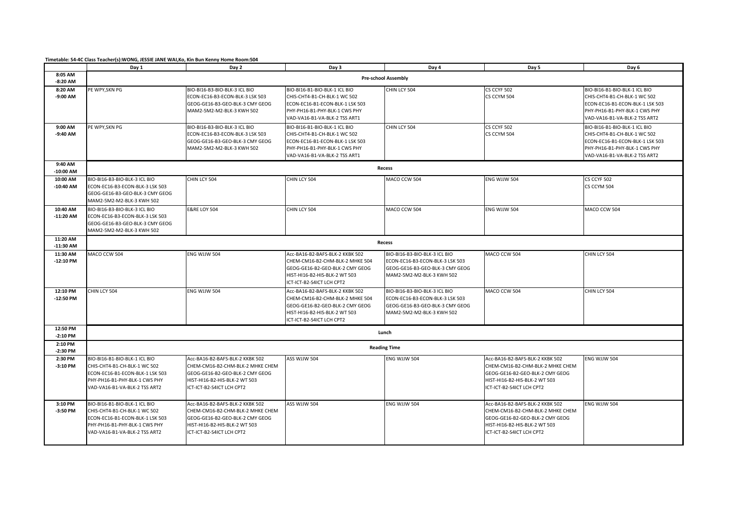**Timetable: S4-4C Class Teacher(s):WONG, JESSIE JANE WAI,Ko, Kin Bun Kenny Home Room:504**

|                         | Day 1                                                                                                                                                              | Day 2                                                                                                                                                                | Day 3                                                                                                                                                               | Day 4                                                                                                                            | Day 5                                                                                                                                                               | Day 6                                                                                                                                                              |
|-------------------------|--------------------------------------------------------------------------------------------------------------------------------------------------------------------|----------------------------------------------------------------------------------------------------------------------------------------------------------------------|---------------------------------------------------------------------------------------------------------------------------------------------------------------------|----------------------------------------------------------------------------------------------------------------------------------|---------------------------------------------------------------------------------------------------------------------------------------------------------------------|--------------------------------------------------------------------------------------------------------------------------------------------------------------------|
| 8:05 AM<br>$-8:20$ AM   |                                                                                                                                                                    |                                                                                                                                                                      |                                                                                                                                                                     | <b>Pre-school Assembly</b>                                                                                                       |                                                                                                                                                                     |                                                                                                                                                                    |
| 8:20 AM<br>-9:00 AM     | PE WPY, SKN PG                                                                                                                                                     | BIO-BI16-B3-BIO-BLK-3 ICL BIO<br>ECON-EC16-B3-ECON-BLK-3 LSK 503<br>GEOG-GE16-B3-GEO-BLK-3 CMY GEOG<br>MAM2-5M2-M2-BLK-3 KWH 502                                     | BIO-BI16-B1-BIO-BLK-1 ICL BIO<br>CHIS-CHT4-B1-CH-BLK-1 WC 502<br>ECON-EC16-B1-ECON-BLK-1 LSK 503<br>PHY-PH16-B1-PHY-BLK-1 CWS PHY<br>VAD-VA16-B1-VA-BLK-2 TSS ART1  | CHIN LCY 504                                                                                                                     | CS CCYF 502<br>CS CCYM 504                                                                                                                                          | BIO-BI16-B1-BIO-BLK-1 ICL BIO<br>CHIS-CHT4-B1-CH-BLK-1 WC 502<br>ECON-EC16-B1-ECON-BLK-1 LSK 503<br>PHY-PH16-B1-PHY-BLK-1 CWS PHY<br>VAD-VA16-B1-VA-BLK-2 TSS ART2 |
| 9:00 AM<br>-9:40 AM     | PE WPY, SKN PG                                                                                                                                                     | BIO-BI16-B3-BIO-BLK-3 ICL BIO<br>ECON-EC16-B3-ECON-BLK-3 LSK 503<br>GEOG-GE16-B3-GEO-BLK-3 CMY GEOG<br>MAM2-5M2-M2-BLK-3 KWH 502                                     | BIO-BI16-B1-BIO-BLK-1 ICL BIO<br>CHIS-CHT4-B1-CH-BLK-1 WC 502<br>ECON-EC16-B1-ECON-BLK-1 LSK 503<br>PHY-PH16-B1-PHY-BLK-1 CWS PHY<br>VAD-VA16-B1-VA-BLK-2 TSS ART1  | CHIN LCY 504                                                                                                                     | CS CCYF 502<br>CS CCYM 504                                                                                                                                          | BIO-BI16-B1-BIO-BLK-1 ICL BIO<br>CHIS-CHT4-B1-CH-BLK-1 WC 502<br>ECON-EC16-B1-ECON-BLK-1 LSK 503<br>PHY-PH16-B1-PHY-BLK-1 CWS PHY<br>VAD-VA16-B1-VA-BLK-2 TSS ART2 |
| 9:40 AM<br>$-10:00$ AM  |                                                                                                                                                                    |                                                                                                                                                                      |                                                                                                                                                                     | Recess                                                                                                                           |                                                                                                                                                                     |                                                                                                                                                                    |
| 10:00 AM<br>$-10:40$ AM | BIO-BI16-B3-BIO-BLK-3 ICL BIO<br>ECON-EC16-B3-ECON-BLK-3 LSK 503<br>GEOG-GE16-B3-GEO-BLK-3 CMY GEOG<br>MAM2-5M2-M2-BLK-3 KWH 502                                   | CHIN LCY 504                                                                                                                                                         | CHIN LCY 504                                                                                                                                                        | MACO CCW 504                                                                                                                     | ENG WJJW 504                                                                                                                                                        | CS CCYF 502<br>CS CCYM 504                                                                                                                                         |
| 10:40 AM<br>$-11:20$ AM | BIO-BI16-B3-BIO-BLK-3 ICL BIO<br>ECON-EC16-B3-ECON-BLK-3 LSK 503<br>GEOG-GE16-B3-GEO-BLK-3 CMY GEOG<br>MAM2-5M2-M2-BLK-3 KWH 502                                   | <b>E&amp;RE LOY 504</b>                                                                                                                                              | CHIN LCY 504                                                                                                                                                        | MACO CCW 504                                                                                                                     | ENG WJJW 504                                                                                                                                                        | MACO CCW 504                                                                                                                                                       |
| 11:20 AM<br>$-11:30$ AM |                                                                                                                                                                    |                                                                                                                                                                      |                                                                                                                                                                     | Recess                                                                                                                           |                                                                                                                                                                     |                                                                                                                                                                    |
| 11:30 AM<br>$-12:10$ PM | MACO CCW 504                                                                                                                                                       | ENG WJJW 504                                                                                                                                                         | Acc-BA16-B2-BAFS-BLK-2 KKBK 502<br>CHEM-CM16-B2-CHM-BLK-2 MHKE 504<br>GEOG-GE16-B2-GEO-BLK-2 CMY GEOG<br>HIST-HI16-B2-HIS-BLK-2 WT 503<br>ICT-ICT-B2-S4ICT LCH CPT2 | BIO-BI16-B3-BIO-BLK-3 ICL BIO<br>ECON-EC16-B3-ECON-BLK-3 LSK 503<br>GEOG-GE16-B3-GEO-BLK-3 CMY GEOG<br>MAM2-5M2-M2-BLK-3 KWH 502 | MACO CCW 504                                                                                                                                                        | CHIN LCY 504                                                                                                                                                       |
| 12:10 PM<br>$-12:50$ PM | CHIN LCY 504                                                                                                                                                       | ENG WJJW 504                                                                                                                                                         | Acc-BA16-B2-BAFS-BLK-2 KKBK 502<br>CHEM-CM16-B2-CHM-BLK-2 MHKE 504<br>GEOG-GE16-B2-GEO-BLK-2 CMY GEOG<br>HIST-HI16-B2-HIS-BLK-2 WT 503<br>ICT-ICT-B2-S4ICT LCH CPT2 | BIO-BI16-B3-BIO-BLK-3 ICL BIO<br>ECON-EC16-B3-ECON-BLK-3 LSK 503<br>GEOG-GE16-B3-GEO-BLK-3 CMY GEOG<br>MAM2-5M2-M2-BLK-3 KWH 502 | MACO CCW 504                                                                                                                                                        | CHIN LCY 504                                                                                                                                                       |
| 12:50 PM<br>$-2:10$ PM  |                                                                                                                                                                    |                                                                                                                                                                      |                                                                                                                                                                     | Lunch                                                                                                                            |                                                                                                                                                                     |                                                                                                                                                                    |
| 2:10 PM<br>$-2:30$ PM   |                                                                                                                                                                    |                                                                                                                                                                      |                                                                                                                                                                     | <b>Reading Time</b>                                                                                                              |                                                                                                                                                                     |                                                                                                                                                                    |
| 2:30 PM<br>$-3:10$ PM   | BIO-BI16-B1-BIO-BLK-1 ICL BIO<br>CHIS-CHT4-B1-CH-BLK-1 WC 502<br>ECON-EC16-B1-ECON-BLK-1 LSK 503<br>PHY-PH16-B1-PHY-BLK-1 CWS PHY<br>VAD-VA16-B1-VA-BLK-2 TSS ART2 | Acc-BA16-B2-BAFS-BLK-2 KKBK 502<br>CHEM-CM16-B2-CHM-BLK-2 MHKE CHEM<br>GEOG-GE16-B2-GEO-BLK-2 CMY GEOG<br>HIST-HI16-B2-HIS-BLK-2 WT 503<br>ICT-ICT-B2-S4ICT LCH CPT2 | ASS WJJW 504                                                                                                                                                        | ENG WJJW 504                                                                                                                     | Acc-BA16-B2-BAFS-BLK-2 KKBK 502<br>CHEM-CM16-B2-CHM-BLK-2 MHKE CHEM<br>GEOG-GE16-B2-GEO-BLK-2 CMY GEOG<br>HIST-HI16-B2-HIS-BLK-2 WT 503<br>CT-ICT-B2-S4ICT LCH CPT2 | ENG WJJW 504                                                                                                                                                       |
| 3:10 PM<br>$-3:50$ PM   | BIO-BI16-B1-BIO-BLK-1 ICL BIO<br>CHIS-CHT4-B1-CH-BLK-1 WC 502<br>ECON-EC16-B1-ECON-BLK-1 LSK 503<br>PHY-PH16-B1-PHY-BLK-1 CWS PHY<br>VAD-VA16-B1-VA-BLK-2 TSS ART2 | Acc-BA16-B2-BAFS-BLK-2 KKBK 502<br>CHEM-CM16-B2-CHM-BLK-2 MHKE CHEM<br>GEOG-GE16-B2-GEO-BLK-2 CMY GEOG<br>HIST-HI16-B2-HIS-BLK-2 WT 503<br>ICT-ICT-B2-S4ICT LCH CPT2 | ASS WJJW 504                                                                                                                                                        | ENG WJJW 504                                                                                                                     | Acc-BA16-B2-BAFS-BLK-2 KKBK 502<br>CHEM-CM16-B2-CHM-BLK-2 MHKE CHEM<br>GEOG-GE16-B2-GEO-BLK-2 CMY GEOG<br>HIST-HI16-B2-HIS-BLK-2 WT 503<br>CT-ICT-B2-S4ICT LCH CPT2 | ENG WJJW 504                                                                                                                                                       |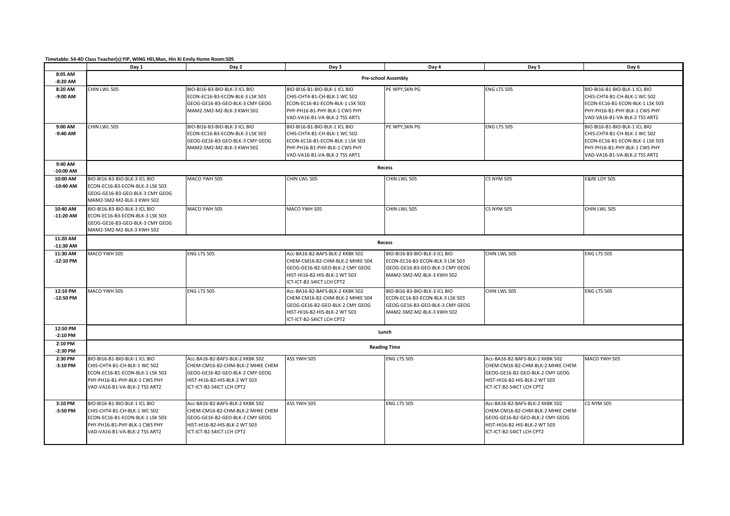**Timetable: S4-4D Class Teacher(s):YIP, WING HEI,Man, Hin Ki Emily Home Room:505**

|                         | Day 1                                                                                                                                                              | Day 2                                                                                                                                                                | Day 3                                                                                                                                                               | Day 4                                                                                                                            | Day 5                                                                                                                                                                | Day 6                                                                                                                                                              |  |
|-------------------------|--------------------------------------------------------------------------------------------------------------------------------------------------------------------|----------------------------------------------------------------------------------------------------------------------------------------------------------------------|---------------------------------------------------------------------------------------------------------------------------------------------------------------------|----------------------------------------------------------------------------------------------------------------------------------|----------------------------------------------------------------------------------------------------------------------------------------------------------------------|--------------------------------------------------------------------------------------------------------------------------------------------------------------------|--|
| 8:05 AM<br>$-8:20$ AM   | <b>Pre-school Assembly</b>                                                                                                                                         |                                                                                                                                                                      |                                                                                                                                                                     |                                                                                                                                  |                                                                                                                                                                      |                                                                                                                                                                    |  |
| 8:20 AM<br>-9:00 AM     | CHIN LWL 505                                                                                                                                                       | BIO-BI16-B3-BIO-BLK-3 ICL BIO<br>ECON-EC16-B3-ECON-BLK-3 LSK 503<br>GEOG-GE16-B3-GEO-BLK-3 CMY GEOG<br>MAM2-5M2-M2-BLK-3 KWH 502                                     | BIO-BI16-B1-BIO-BLK-1 ICL BIO<br>CHIS-CHT4-B1-CH-BLK-1 WC 502<br>ECON-EC16-B1-ECON-BLK-1 LSK 503<br>PHY-PH16-B1-PHY-BLK-1 CWS PHY<br>VAD-VA16-B1-VA-BLK-2 TSS ART1  | PE WPY, SKN PG                                                                                                                   | ENG LTS 505                                                                                                                                                          | BIO-BI16-B1-BIO-BLK-1 ICL BIO<br>CHIS-CHT4-B1-CH-BLK-1 WC 502<br>ECON-EC16-B1-ECON-BLK-1 LSK 503<br>PHY-PH16-B1-PHY-BLK-1 CWS PHY<br>VAD-VA16-B1-VA-BLK-2 TSS ART2 |  |
| 9:00 AM<br>-9:40 AM     | CHIN LWL 505                                                                                                                                                       | BIO-BI16-B3-BIO-BLK-3 ICL BIO<br>ECON-EC16-B3-ECON-BLK-3 LSK 503<br>GEOG-GE16-B3-GEO-BLK-3 CMY GEOG<br>MAM2-5M2-M2-BLK-3 KWH 502                                     | BIO-BI16-B1-BIO-BLK-1 ICL BIO<br>CHIS-CHT4-B1-CH-BLK-1 WC 502<br>ECON-EC16-B1-ECON-BLK-1 LSK 503<br>PHY-PH16-B1-PHY-BLK-1 CWS PHY<br>VAD-VA16-B1-VA-BLK-2 TSS ART1  | PE WPY, SKN PG                                                                                                                   | ENG LTS 505                                                                                                                                                          | BIO-BI16-B1-BIO-BLK-1 ICL BIO<br>CHIS-CHT4-B1-CH-BLK-1 WC 502<br>ECON-EC16-B1-ECON-BLK-1 LSK 503<br>PHY-PH16-B1-PHY-BLK-1 CWS PHY<br>VAD-VA16-B1-VA-BLK-2 TSS ART2 |  |
| 9:40 AM<br>$-10:00$ AM  |                                                                                                                                                                    |                                                                                                                                                                      |                                                                                                                                                                     | Recess                                                                                                                           |                                                                                                                                                                      |                                                                                                                                                                    |  |
| 10:00 AM<br>$-10:40$ AM | BIO-BI16-B3-BIO-BLK-3 ICL BIO<br>ECON-EC16-B3-ECON-BLK-3 LSK 503<br>GEOG-GE16-B3-GEO-BLK-3 CMY GEOG<br>MAM2-5M2-M2-BLK-3 KWH 502                                   | MACO YWH 505                                                                                                                                                         | CHIN LWL 505                                                                                                                                                        | CHIN LWL 505                                                                                                                     | <b>CS NYM 505</b>                                                                                                                                                    | <b>E&amp;RE LOY 505</b>                                                                                                                                            |  |
| 10:40 AM<br>$-11:20$ AM | BIO-BI16-B3-BIO-BLK-3 ICL BIO<br>ECON-EC16-B3-ECON-BLK-3 LSK 503<br>GEOG-GE16-B3-GEO-BLK-3 CMY GEOG<br>MAM2-5M2-M2-BLK-3 KWH 502                                   | MACO YWH 505                                                                                                                                                         | MACO YWH 505                                                                                                                                                        | CHIN LWL 505                                                                                                                     | <b>CS NYM 505</b>                                                                                                                                                    | CHIN LWL 505                                                                                                                                                       |  |
| 11:20 AM<br>$-11:30$ AM |                                                                                                                                                                    |                                                                                                                                                                      |                                                                                                                                                                     | Recess                                                                                                                           |                                                                                                                                                                      |                                                                                                                                                                    |  |
| 11:30 AM<br>$-12:10$ PM | MACO YWH 505                                                                                                                                                       | ENG LTS 505                                                                                                                                                          | Acc-BA16-B2-BAFS-BLK-2 KKBK 502<br>CHEM-CM16-B2-CHM-BLK-2 MHKE 504<br>GEOG-GE16-B2-GEO-BLK-2 CMY GEOG<br>HIST-HI16-B2-HIS-BLK-2 WT 503<br>ICT-ICT-B2-S4ICT LCH CPT2 | BIO-BI16-B3-BIO-BLK-3 ICL BIO<br>ECON-EC16-B3-ECON-BLK-3 LSK 503<br>GEOG-GE16-B3-GEO-BLK-3 CMY GEOG<br>MAM2-5M2-M2-BLK-3 KWH 502 | CHIN LWL 505                                                                                                                                                         | <b>ENG LTS 505</b>                                                                                                                                                 |  |
| 12:10 PM<br>$-12:50$ PM | MACO YWH 505                                                                                                                                                       | ENG LTS 505                                                                                                                                                          | Acc-BA16-B2-BAFS-BLK-2 KKBK 502<br>CHEM-CM16-B2-CHM-BLK-2 MHKE 504<br>GEOG-GE16-B2-GEO-BLK-2 CMY GEOG<br>HIST-HI16-B2-HIS-BLK-2 WT 503<br>ICT-ICT-B2-S4ICT LCH CPT2 | BIO-BI16-B3-BIO-BLK-3 ICL BIO<br>ECON-EC16-B3-ECON-BLK-3 LSK 503<br>GEOG-GE16-B3-GEO-BLK-3 CMY GEOG<br>MAM2-5M2-M2-BLK-3 KWH 502 | CHIN LWL 505                                                                                                                                                         | <b>ENG LTS 505</b>                                                                                                                                                 |  |
| 12:50 PM<br>$-2:10$ PM  |                                                                                                                                                                    |                                                                                                                                                                      |                                                                                                                                                                     | Lunch                                                                                                                            |                                                                                                                                                                      |                                                                                                                                                                    |  |
| 2:10 PM<br>$-2:30$ PM   |                                                                                                                                                                    |                                                                                                                                                                      |                                                                                                                                                                     | <b>Reading Time</b>                                                                                                              |                                                                                                                                                                      |                                                                                                                                                                    |  |
| 2:30 PM<br>$-3:10$ PM   | BIO-BI16-B1-BIO-BLK-1 ICL BIO<br>CHIS-CHT4-B1-CH-BLK-1 WC 502<br>ECON-EC16-B1-ECON-BLK-1 LSK 503<br>PHY-PH16-B1-PHY-BLK-1 CWS PHY<br>VAD-VA16-B1-VA-BLK-2 TSS ART2 | Acc-BA16-B2-BAFS-BLK-2 KKBK 502<br>CHEM-CM16-B2-CHM-BLK-2 MHKE CHEM<br>GEOG-GE16-B2-GEO-BLK-2 CMY GEOG<br>HIST-HI16-B2-HIS-BLK-2 WT 503<br>ICT-ICT-B2-S4ICT LCH CPT2 | ASS YWH 505                                                                                                                                                         | ENG LTS 505                                                                                                                      | Acc-BA16-B2-BAFS-BLK-2 KKBK 502<br>CHEM-CM16-B2-CHM-BLK-2 MHKE CHEM<br>GEOG-GE16-B2-GEO-BLK-2 CMY GEOG<br>HIST-HI16-B2-HIS-BLK-2 WT 503<br>ICT-ICT-B2-S4ICT LCH CPT2 | MACO YWH 505                                                                                                                                                       |  |
| 3:10 PM<br>-3:50 PM     | BIO-BI16-B1-BIO-BLK-1 ICL BIO<br>CHIS-CHT4-B1-CH-BLK-1 WC 502<br>ECON-EC16-B1-ECON-BLK-1 LSK 503<br>PHY-PH16-B1-PHY-BLK-1 CWS PHY<br>VAD-VA16-B1-VA-BLK-2 TSS ART2 | Acc-BA16-B2-BAFS-BLK-2 KKBK 502<br>CHEM-CM16-B2-CHM-BLK-2 MHKE CHEM<br>GEOG-GE16-B2-GEO-BLK-2 CMY GEOG<br>HIST-HI16-B2-HIS-BLK-2 WT 503<br>ICT-ICT-B2-S4ICT LCH CPT2 | ASS YWH 505                                                                                                                                                         | ENG LTS 505                                                                                                                      | Acc-BA16-B2-BAFS-BLK-2 KKBK 502<br>CHEM-CM16-B2-CHM-BLK-2 MHKE CHEM<br>GEOG-GE16-B2-GEO-BLK-2 CMY GEOG<br>HIST-HI16-B2-HIS-BLK-2 WT 503<br>ICT-ICT-B2-S4ICT LCH CPT2 | <b>CS NYM 505</b>                                                                                                                                                  |  |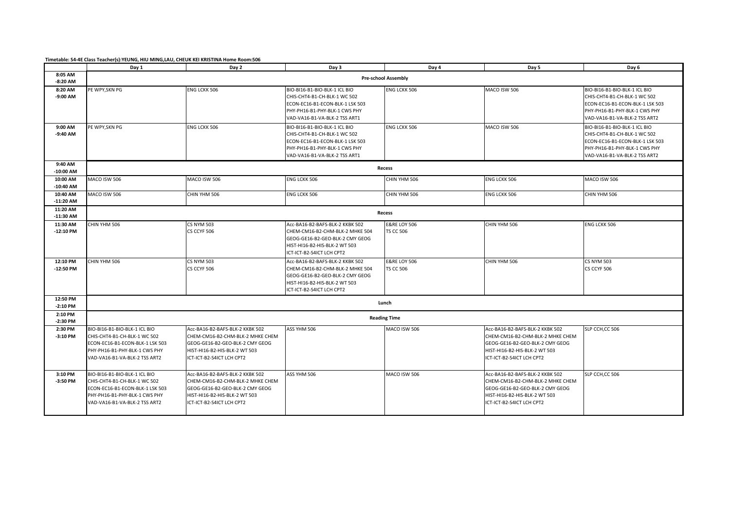**Timetable: S4-4E Class Teacher(s):YEUNG, HIU MING,LAU, CHEUK KEI KRISTINA Home Room:506**

|                         | Day 1                                                                                                                                                              | Day 2                                                                                                                                                                | Day 3                                                                                                                                                               | Day 4                                       | Day 5                                                                                                                                                                | Day 6                                                                                                                                                              |
|-------------------------|--------------------------------------------------------------------------------------------------------------------------------------------------------------------|----------------------------------------------------------------------------------------------------------------------------------------------------------------------|---------------------------------------------------------------------------------------------------------------------------------------------------------------------|---------------------------------------------|----------------------------------------------------------------------------------------------------------------------------------------------------------------------|--------------------------------------------------------------------------------------------------------------------------------------------------------------------|
| 8:05 AM<br>$-8:20$ AM   |                                                                                                                                                                    |                                                                                                                                                                      |                                                                                                                                                                     | <b>Pre-school Assembly</b>                  |                                                                                                                                                                      |                                                                                                                                                                    |
| 8:20 AM<br>$-9:00$ AM   | PE WPY, SKN PG                                                                                                                                                     | <b>ENG LCKK 506</b>                                                                                                                                                  | BIO-BI16-B1-BIO-BLK-1 ICL BIO<br>CHIS-CHT4-B1-CH-BLK-1 WC 502<br>ECON-EC16-B1-ECON-BLK-1 LSK 503<br>PHY-PH16-B1-PHY-BLK-1 CWS PHY<br>VAD-VA16-B1-VA-BLK-2 TSS ART1  | <b>ENG LCKK 506</b>                         | MACO ISW 506                                                                                                                                                         | BIO-BI16-B1-BIO-BLK-1 ICL BIO<br>CHIS-CHT4-B1-CH-BLK-1 WC 502<br>ECON-EC16-B1-ECON-BLK-1 LSK 503<br>PHY-PH16-B1-PHY-BLK-1 CWS PHY<br>VAD-VA16-B1-VA-BLK-2 TSS ART2 |
| 9:00 AM<br>$-9:40$ AM   | PE WPY, SKN PG                                                                                                                                                     | <b>ENG LCKK 506</b>                                                                                                                                                  | BIO-BI16-B1-BIO-BLK-1 ICL BIO<br>CHIS-CHT4-B1-CH-BLK-1 WC 502<br>ECON-EC16-B1-ECON-BLK-1 LSK 503<br>PHY-PH16-B1-PHY-BLK-1 CWS PHY<br>VAD-VA16-B1-VA-BLK-2 TSS ART1  | <b>ENG LCKK 506</b>                         | MACO ISW 506                                                                                                                                                         | BIO-BI16-B1-BIO-BLK-1 ICL BIO<br>CHIS-CHT4-B1-CH-BLK-1 WC 502<br>ECON-EC16-B1-ECON-BLK-1 LSK 503<br>PHY-PH16-B1-PHY-BLK-1 CWS PHY<br>VAD-VA16-B1-VA-BLK-2 TSS ART2 |
| 9:40 AM<br>$-10:00$ AM  |                                                                                                                                                                    |                                                                                                                                                                      |                                                                                                                                                                     | <b>Recess</b>                               |                                                                                                                                                                      |                                                                                                                                                                    |
| 10:00 AM<br>$-10:40$ AM | MACO ISW 506                                                                                                                                                       | MACO ISW 506                                                                                                                                                         | <b>ENG LCKK 506</b>                                                                                                                                                 | CHIN YHM 506                                | ENG LCKK 506                                                                                                                                                         | MACO ISW 506                                                                                                                                                       |
| 10:40 AM<br>$-11:20$ AM | MACO ISW 506                                                                                                                                                       | CHIN YHM 506                                                                                                                                                         | ENG LCKK 506                                                                                                                                                        | CHIN YHM 506                                | ENG LCKK 506                                                                                                                                                         | CHIN YHM 506                                                                                                                                                       |
| 11:20 AM<br>$-11:30$ AM |                                                                                                                                                                    |                                                                                                                                                                      |                                                                                                                                                                     | Recess                                      |                                                                                                                                                                      |                                                                                                                                                                    |
| 11:30 AM<br>$-12:10$ PM | CHIN YHM 506                                                                                                                                                       | <b>CS NYM 503</b><br>CS CCYF 506                                                                                                                                     | Acc-BA16-B2-BAFS-BLK-2 KKBK 502<br>CHEM-CM16-B2-CHM-BLK-2 MHKE 504<br>GEOG-GE16-B2-GEO-BLK-2 CMY GEOG<br>HIST-HI16-B2-HIS-BLK-2 WT 503<br>ICT-ICT-B2-S4ICT LCH CPT2 | <b>E&amp;RE LOY 506</b><br><b>TS CC 506</b> | CHIN YHM 506                                                                                                                                                         | ENG LCKK 506                                                                                                                                                       |
| 12:10 PM<br>$-12:50$ PM | CHIN YHM 506                                                                                                                                                       | <b>CS NYM 503</b><br>CS CCYF 506                                                                                                                                     | Acc-BA16-B2-BAFS-BLK-2 KKBK 502<br>CHEM-CM16-B2-CHM-BLK-2 MHKE 504<br>GEOG-GE16-B2-GEO-BLK-2 CMY GEOG<br>HIST-HI16-B2-HIS-BLK-2 WT 503<br>ICT-ICT-B2-S4ICT LCH CPT2 | <b>E&amp;RE LOY 506</b><br><b>TS CC 506</b> | CHIN YHM 506                                                                                                                                                         | <b>CS NYM 503</b><br>CS CCYF 506                                                                                                                                   |
| 12:50 PM<br>$-2:10$ PM  |                                                                                                                                                                    |                                                                                                                                                                      |                                                                                                                                                                     | Lunch                                       |                                                                                                                                                                      |                                                                                                                                                                    |
| 2:10 PM<br>$-2:30$ PM   |                                                                                                                                                                    |                                                                                                                                                                      |                                                                                                                                                                     | <b>Reading Time</b>                         |                                                                                                                                                                      |                                                                                                                                                                    |
| 2:30 PM<br>$-3:10$ PM   | BIO-BI16-B1-BIO-BLK-1 ICL BIO<br>CHIS-CHT4-B1-CH-BLK-1 WC 502<br>ECON-EC16-B1-ECON-BLK-1 LSK 503<br>PHY-PH16-B1-PHY-BLK-1 CWS PHY<br>VAD-VA16-B1-VA-BLK-2 TSS ART2 | Acc-BA16-B2-BAFS-BLK-2 KKBK 502<br>CHEM-CM16-B2-CHM-BLK-2 MHKE CHEM<br>GEOG-GE16-B2-GEO-BLK-2 CMY GEOG<br>HIST-HI16-B2-HIS-BLK-2 WT 503<br>ICT-ICT-B2-S4ICT LCH CPT2 | ASS YHM 506                                                                                                                                                         | MACO ISW 506                                | Acc-BA16-B2-BAFS-BLK-2 KKBK 502<br>CHEM-CM16-B2-CHM-BLK-2 MHKE CHEM<br>GEOG-GE16-B2-GEO-BLK-2 CMY GEOG<br>HIST-HI16-B2-HIS-BLK-2 WT 503<br>ICT-ICT-B2-S4ICT LCH CPT2 | SLP CCH, CC 506                                                                                                                                                    |
| 3:10 PM<br>$-3:50$ PM   | BIO-BI16-B1-BIO-BLK-1 ICL BIO<br>CHIS-CHT4-B1-CH-BLK-1 WC 502<br>ECON-EC16-B1-ECON-BLK-1 LSK 503<br>PHY-PH16-B1-PHY-BLK-1 CWS PHY<br>VAD-VA16-B1-VA-BLK-2 TSS ART2 | Acc-BA16-B2-BAFS-BLK-2 KKBK 502<br>CHEM-CM16-B2-CHM-BLK-2 MHKE CHEM<br>GEOG-GE16-B2-GEO-BLK-2 CMY GEOG<br>HIST-HI16-B2-HIS-BLK-2 WT 503<br>ICT-ICT-B2-S4ICT LCH CPT2 | ASS YHM 506                                                                                                                                                         | MACO ISW 506                                | Acc-BA16-B2-BAFS-BLK-2 KKBK 502<br>CHEM-CM16-B2-CHM-BLK-2 MHKE CHEM<br>GEOG-GE16-B2-GEO-BLK-2 CMY GEOG<br>HIST-HI16-B2-HIS-BLK-2 WT 503<br>CT-ICT-B2-S4ICT LCH CPT2  | SLP CCH, CC 506                                                                                                                                                    |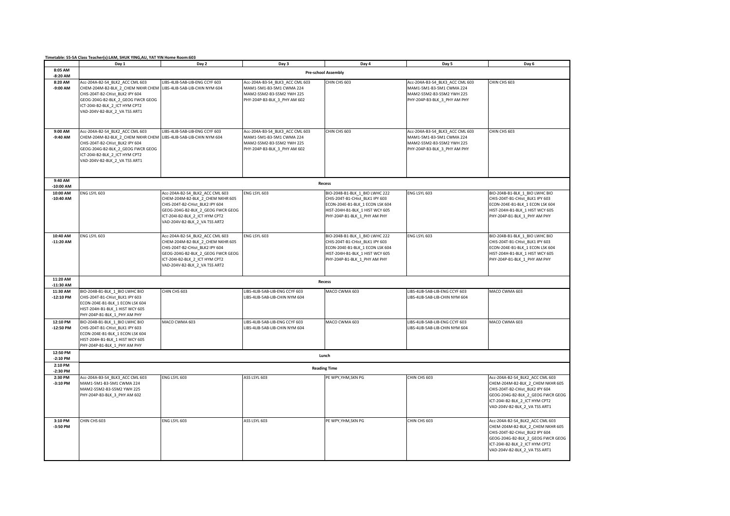|                         | Timetable: S5-5A Class Teacher(s):LAM, SHUK YING,AU, YAT YIN Home Room:603                                                                                                                                      |                                                                                                                                                                                                                |                                                                                                                          |                                                                                                                                                                         |                                                                                                                          |                                                                                                                                                                                                                |  |
|-------------------------|-----------------------------------------------------------------------------------------------------------------------------------------------------------------------------------------------------------------|----------------------------------------------------------------------------------------------------------------------------------------------------------------------------------------------------------------|--------------------------------------------------------------------------------------------------------------------------|-------------------------------------------------------------------------------------------------------------------------------------------------------------------------|--------------------------------------------------------------------------------------------------------------------------|----------------------------------------------------------------------------------------------------------------------------------------------------------------------------------------------------------------|--|
|                         | Day 1                                                                                                                                                                                                           | Day 2                                                                                                                                                                                                          | Day 3                                                                                                                    | Day 4                                                                                                                                                                   | Day 5                                                                                                                    | Day 6                                                                                                                                                                                                          |  |
| 8:05 AM<br>$-8:20$ AM   | <b>Pre-school Assembly</b>                                                                                                                                                                                      |                                                                                                                                                                                                                |                                                                                                                          |                                                                                                                                                                         |                                                                                                                          |                                                                                                                                                                                                                |  |
| 8:20 AM<br>$-9:00$ AM   | Acc-204A-B2-S4_BLK2_ACC CML 603<br>CHEM-204M-B2-BLK_2_CHEM NKHR CHEM<br>CHIS-204T-B2-CHist BLK2 IPY 604<br>GEOG-204G-B2-BLK_2_GEOG FWCR GEOG<br>ICT-204I-B2-BLK 2 ICT HYM CPT2<br>VAD-204V-B2-BLK_2_VA TSS ART1 | LIBS-4LIB-5AB-LIB-ENG CCYF 603<br>LIBS-4LIB-5AB-LIB-CHIN NYM 604                                                                                                                                               | Acc-204A-B3-S4_BLK3_ACC CML 603<br>MAM1-5M1-B3-5M1 CWMA 224<br>MAM2-S5M2-B3-S5M2 YWH 225<br>PHY-204P-B3-BLK_3_PHY AM 602 | CHIN CHS 603                                                                                                                                                            | Acc-204A-B3-S4_BLK3_ACC CML 603<br>MAM1-5M1-B3-5M1 CWMA 224<br>MAM2-S5M2-B3-S5M2 YWH 225<br>PHY-204P-B3-BLK_3_PHY AM PHY | CHIN CHS 603                                                                                                                                                                                                   |  |
| 9:00 AM<br>$-9:40$ AM   | Acc-204A-B2-S4_BLK2_ACC CML 603<br>CHEM-204M-B2-BLK_2_CHEM NKHR CHEM<br>CHIS-204T-B2-CHist_BLK2 IPY 604<br>GEOG-204G-B2-BLK 2 GEOG FWCR GEOG<br>ICT-204I-B2-BLK_2_ICT HYM CPT2<br>VAD-204V-B2-BLK_2_VA TSS ART1 | LIBS-4LIB-5AB-LIB-ENG CCYF 603<br>LIBS-4LIB-5AB-LIB-CHIN NYM 604                                                                                                                                               | Acc-204A-B3-S4_BLK3_ACC CML 603<br>MAM1-5M1-B3-5M1 CWMA 224<br>MAM2-S5M2-B3-S5M2 YWH 225<br>PHY-204P-B3-BLK_3_PHY AM 602 | CHIN CHS 603                                                                                                                                                            | Acc-204A-B3-S4_BLK3_ACC CML 603<br>MAM1-5M1-B3-5M1 CWMA 224<br>MAM2-S5M2-B3-S5M2 YWH 225<br>PHY-204P-B3-BLK_3_PHY AM PHY | CHIN CHS 603                                                                                                                                                                                                   |  |
| 9:40 AM<br>$-10:00$ AM  |                                                                                                                                                                                                                 |                                                                                                                                                                                                                |                                                                                                                          | Recess                                                                                                                                                                  |                                                                                                                          |                                                                                                                                                                                                                |  |
| 10:00 AM<br>$-10:40$ AM | ENG LSYL 603                                                                                                                                                                                                    | Acc-204A-B2-S4 BLK2 ACC CML 603<br>CHEM-204M-B2-BLK_2_CHEM NKHR 605<br>CHIS-204T-B2-CHist BLK2 IPY 604<br>GEOG-204G-B2-BLK_2_GEOG FWCR GEOG<br>ICT-204I-B2-BLK 2 ICT HYM CPT2<br>VAD-204V-B2-BLK_2_VA TSS ART2 | ENG LSYL 603                                                                                                             | BIO-204B-B1-BLK 1 BIO LWHC 222<br>CHIS-204T-B1-CHist_BLK1 IPY 603<br>ECON-204E-B1-BLK 1 ECON LSK 604<br>HIST-204H-B1-BLK_1 HIST WCY 605<br>PHY-204P-B1-BLK_1_PHY AM PHY | ENG LSYL 603                                                                                                             | BIO-204B-B1-BLK 1 BIO LWHC BIO<br>CHIS-204T-B1-CHist_BLK1 IPY 603<br>ECON-204E-B1-BLK 1 ECON LSK 604<br>HIST-204H-B1-BLK_1 HIST WCY 605<br>PHY-204P-B1-BLK_1_PHY AM PHY                                        |  |
| 10:40 AM<br>$-11:20$ AM | ENG LSYL 603                                                                                                                                                                                                    | Acc-204A-B2-S4_BLK2_ACC CML 603<br>CHEM-204M-B2-BLK_2_CHEM NKHR 605<br>CHIS-204T-B2-CHist BLK2 IPY 604<br>GEOG-204G-B2-BLK_2_GEOG FWCR GEOG<br>ICT-204I-B2-BLK 2 ICT HYM CPT2<br>VAD-204V-B2-BLK_2_VA TSS ART2 | ENG LSYL 603                                                                                                             | BIO-204B-B1-BLK 1 BIO LWHC 222<br>CHIS-204T-B1-CHist_BLK1 IPY 603<br>ECON-204E-B1-BLK 1 ECON LSK 604<br>HIST-204H-B1-BLK_1 HIST WCY 605<br>PHY-204P-B1-BLK_1_PHY AM PHY | ENG LSYL 603                                                                                                             | BIO-204B-B1-BLK_1_BIO LWHC BIO<br>CHIS-204T-B1-CHist_BLK1 IPY 603<br>ECON-204E-B1-BLK 1 ECON LSK 604<br>HIST-204H-B1-BLK_1 HIST WCY 605<br>PHY-204P-B1-BLK_1_PHY AM PHY                                        |  |
| 11:20 AM<br>$-11:30$ AM |                                                                                                                                                                                                                 |                                                                                                                                                                                                                |                                                                                                                          | Recess                                                                                                                                                                  |                                                                                                                          |                                                                                                                                                                                                                |  |
| 11:30 AM<br>$-12:10$ PM | BIO-204B-B1-BLK_1_BIO LWHC BIO<br>CHIS-204T-B1-CHist BLK1 IPY 603<br>ECON-204E-B1-BLK 1 ECON LSK 604<br>HIST-204H-B1-BLK_1 HIST WCY 605<br>PHY-204P-B1-BLK 1 PHY AM PHY                                         | CHIN CHS 603                                                                                                                                                                                                   | LIBS-4LIB-5AB-LIB-ENG CCYF 603<br>LIBS-4LIB-5AB-LIB-CHIN NYM 604                                                         | MACO CWMA 603                                                                                                                                                           | LIBS-4LIB-5AB-LIB-ENG CCYF 603<br>LIBS-4LIB-5AB-LIB-CHIN NYM 604                                                         | MACO CWMA 603                                                                                                                                                                                                  |  |
| 12:10 PM<br>-12:50 PM   | BIO-204B-B1-BLK_1_BIO LWHC BIO<br>CHIS-204T-B1-CHist_BLK1 IPY 603<br>ECON-204E-B1-BLK 1 ECON LSK 604<br>HIST-204H-B1-BLK_1 HIST WCY 605<br>PHY-204P-B1-BLK 1 PHY AM PHY                                         | MACO CWMA 603                                                                                                                                                                                                  | LIBS-4LIB-5AB-LIB-ENG CCYF 603<br>LIBS-4LIB-5AB-LIB-CHIN NYM 604                                                         | MACO CWMA 603                                                                                                                                                           | LIBS-4LIB-5AB-LIB-ENG CCYF 603<br>LIBS-4LIB-5AB-LIB-CHIN NYM 604                                                         | MACO CWMA 603                                                                                                                                                                                                  |  |
| 12:50 PM<br>$-2:10$ PM  |                                                                                                                                                                                                                 |                                                                                                                                                                                                                |                                                                                                                          | Lunch                                                                                                                                                                   |                                                                                                                          |                                                                                                                                                                                                                |  |
| 2:10 PM<br>$-2:30$ PM   |                                                                                                                                                                                                                 |                                                                                                                                                                                                                |                                                                                                                          | <b>Reading Time</b>                                                                                                                                                     |                                                                                                                          |                                                                                                                                                                                                                |  |
| 2:30 PM<br>$-3:10$ PM   | Acc-204A-B3-S4 BLK3 ACC CML 603<br>MAM1-5M1-B3-5M1 CWMA 224<br>MAM2-S5M2-B3-S5M2 YWH 225<br>PHY-204P-B3-BLK_3_PHY AM 602                                                                                        | ENG LSYL 603                                                                                                                                                                                                   | ASS LSYL 603                                                                                                             | PE WPY, YHM, SKN PG                                                                                                                                                     | CHIN CHS 603                                                                                                             | Acc-204A-B2-S4 BLK2 ACC CML 603<br>CHEM-204M-B2-BLK 2 CHEM NKHR 605<br>CHIS-204T-B2-CHist BLK2 IPY 604<br>GEOG-204G-B2-BLK 2 GEOG FWCR GEOG<br>ICT-204I-B2-BLK_2_ICT HYM CPT2<br>VAD-204V-B2-BLK_2_VA TSS ART1 |  |
| 3:10 PM<br>$-3:50$ PM   | CHIN CHS 603                                                                                                                                                                                                    | ENG LSYL 603                                                                                                                                                                                                   | ASS LSYL 603                                                                                                             | PE WPY, YHM, SKN PG                                                                                                                                                     | CHIN CHS 603                                                                                                             | Acc-204A-B2-S4 BLK2 ACC CML 603<br>CHEM-204M-B2-BLK_2_CHEM NKHR 605<br>CHIS-204T-B2-CHist BLK2 IPY 604<br>GEOG-204G-B2-BLK_2_GEOG FWCR GEOG<br>ICT-204I-B2-BLK 2 ICT HYM CPT2<br>VAD-204V-B2-BLK_2_VA TSS ART1 |  |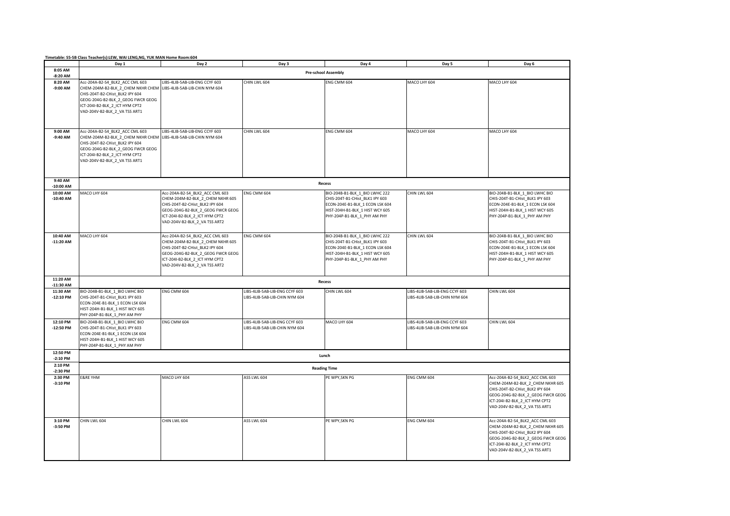| Timetable: S5-5B Class Teacher(s):LEW, WAI LENG, NG, YUK MAN Home Room:604 |
|----------------------------------------------------------------------------|
|----------------------------------------------------------------------------|

|                         | Day 1                                                                                                                                                                                                                                          | Day 2                                                                                                                                                                                                          | Day 3                                                            | Day 4                                                                                                                                                                   | Day 5                                                            | Day 6                                                                                                                                                                                                          |  |  |
|-------------------------|------------------------------------------------------------------------------------------------------------------------------------------------------------------------------------------------------------------------------------------------|----------------------------------------------------------------------------------------------------------------------------------------------------------------------------------------------------------------|------------------------------------------------------------------|-------------------------------------------------------------------------------------------------------------------------------------------------------------------------|------------------------------------------------------------------|----------------------------------------------------------------------------------------------------------------------------------------------------------------------------------------------------------------|--|--|
| 8:05 AM<br>$-8:20$ AM   |                                                                                                                                                                                                                                                | <b>Pre-school Assembly</b>                                                                                                                                                                                     |                                                                  |                                                                                                                                                                         |                                                                  |                                                                                                                                                                                                                |  |  |
| 8:20 AM<br>-9:00 AM     | Acc-204A-B2-S4_BLK2_ACC CML 603<br>CHEM-204M-B2-BLK 2 CHEM NKHR CHEM LIBS-4LIB-5AB-LIB-CHIN NYM 604<br>CHIS-204T-B2-CHist_BLK2 IPY 604<br>GEOG-204G-B2-BLK_2_GEOG FWCR GEOG<br>ICT-204I-B2-BLK_2_ICT HYM CPT2<br>VAD-204V-B2-BLK_2_VA TSS ART1 | LIBS-4LIB-5AB-LIB-ENG CCYF 603                                                                                                                                                                                 | CHIN LWL 604                                                     | ENG CMM 604                                                                                                                                                             | MACO LHY 604                                                     | MACO LHY 604                                                                                                                                                                                                   |  |  |
| 9:00 AM<br>-9:40 AM     | Acc-204A-B2-S4_BLK2_ACC CML 603<br>CHEM-204M-B2-BLK_2_CHEM NKHR CHEM<br>CHIS-204T-B2-CHist_BLK2 IPY 604<br>GEOG-204G-B2-BLK_2_GEOG FWCR GEOG<br>ICT-204I-B2-BLK_2_ICT HYM CPT2<br>VAD-204V-B2-BLK_2_VA TSS ART1                                | LIBS-4LIB-5AB-LIB-ENG CCYF 603<br>LIBS-4LIB-5AB-LIB-CHIN NYM 604                                                                                                                                               | CHIN LWL 604                                                     | ENG CMM 604                                                                                                                                                             | MACO LHY 604                                                     | MACO LHY 604                                                                                                                                                                                                   |  |  |
| 9:40 AM<br>$-10:00$ AM  |                                                                                                                                                                                                                                                |                                                                                                                                                                                                                |                                                                  | Recess                                                                                                                                                                  |                                                                  |                                                                                                                                                                                                                |  |  |
| 10:00 AM<br>$-10:40$ AM | MACO LHY 604                                                                                                                                                                                                                                   | Acc-204A-B2-S4_BLK2_ACC CML 603<br>CHEM-204M-B2-BLK 2 CHEM NKHR 605<br>CHIS-204T-B2-CHist BLK2 IPY 604<br>GEOG-204G-B2-BLK_2_GEOG FWCR GEOG<br>ICT-204I-B2-BLK 2 ICT HYM CPT2<br>VAD-204V-B2-BLK_2_VA TSS ART2 | ENG CMM 604                                                      | BIO-204B-B1-BLK_1_BIO LWHC 222<br>CHIS-204T-B1-CHist BLK1 IPY 603<br>ECON-204E-B1-BLK 1 ECON LSK 604<br>HIST-204H-B1-BLK 1 HIST WCY 605<br>PHY-204P-B1-BLK_1_PHY AM PHY | CHIN LWL 604                                                     | BIO-204B-B1-BLK_1_BIO LWHC BIO<br>CHIS-204T-B1-CHist BLK1 IPY 603<br>ECON-204E-B1-BLK_1 ECON LSK 604<br>HIST-204H-B1-BLK 1 HIST WCY 605<br>PHY-204P-B1-BLK_1_PHY AM PHY                                        |  |  |
| 10:40 AM<br>$-11:20$ AM | MACO LHY 604                                                                                                                                                                                                                                   | Acc-204A-B2-S4_BLK2_ACC CML 603<br>CHEM-204M-B2-BLK 2 CHEM NKHR 605<br>CHIS-204T-B2-CHist_BLK2 IPY 604<br>GEOG-204G-B2-BLK_2_GEOG FWCR GEOG<br>ICT-204I-B2-BLK_2_ICT HYM CPT2<br>VAD-204V-B2-BLK_2_VA TSS ART2 | ENG CMM 604                                                      | BIO-204B-B1-BLK_1_BIO LWHC 222<br>CHIS-204T-B1-CHist BLK1 IPY 603<br>ECON-204E-B1-BLK_1 ECON LSK 604<br>HIST-204H-B1-BLK_1 HIST WCY 605<br>PHY-204P-B1-BLK_1_PHY AM PHY | CHIN LWL 604                                                     | BIO-204B-B1-BLK_1_BIO LWHC BIO<br>CHIS-204T-B1-CHist BLK1 IPY 603<br>ECON-204E-B1-BLK_1 ECON LSK 604<br>HIST-204H-B1-BLK_1 HIST WCY 605<br>PHY-204P-B1-BLK_1_PHY AM PHY                                        |  |  |
| 11:20 AM<br>$-11:30$ AM |                                                                                                                                                                                                                                                |                                                                                                                                                                                                                |                                                                  | Recess                                                                                                                                                                  |                                                                  |                                                                                                                                                                                                                |  |  |
| 11:30 AM<br>$-12:10$ PM | BIO-204B-B1-BLK 1 BIO LWHC BIO<br>CHIS-204T-B1-CHist_BLK1 IPY 603<br>ECON-204E-B1-BLK 1 ECON LSK 604<br>HIST-204H-B1-BLK 1 HIST WCY 605<br>PHY-204P-B1-BLK_1_PHY AM PHY                                                                        | ENG CMM 604                                                                                                                                                                                                    | IBS-4LIB-5AB-LIB-ENG CCYF 603<br>LIBS-4LIB-5AB-LIB-CHIN NYM 604  | CHIN LWL 604                                                                                                                                                            | LIBS-4LIB-5AB-LIB-ENG CCYF 603<br>LIBS-4LIB-5AB-LIB-CHIN NYM 604 | CHIN LWL 604                                                                                                                                                                                                   |  |  |
| 12:10 PM<br>$-12:50$ PM | BIO-204B-B1-BLK 1 BIO LWHC BIO<br>CHIS-204T-B1-CHist BLK1 IPY 603<br>ECON-204E-B1-BLK_1 ECON LSK 604<br>HIST-204H-B1-BLK 1 HIST WCY 605<br>PHY-204P-B1-BLK_1_PHY AM PHY                                                                        | ENG CMM 604                                                                                                                                                                                                    | LIBS-4LIB-5AB-LIB-ENG CCYF 603<br>LIBS-4LIB-5AB-LIB-CHIN NYM 604 | MACO LHY 604                                                                                                                                                            | LIBS-4LIB-5AB-LIB-ENG CCYF 603<br>LIBS-4LIB-5AB-LIB-CHIN NYM 604 | CHIN LWL 604                                                                                                                                                                                                   |  |  |
| 12:50 PM<br>$-2:10$ PM  | Lunch                                                                                                                                                                                                                                          |                                                                                                                                                                                                                |                                                                  |                                                                                                                                                                         |                                                                  |                                                                                                                                                                                                                |  |  |
| 2:10 PM<br>$-2:30$ PM   |                                                                                                                                                                                                                                                | <b>Reading Time</b>                                                                                                                                                                                            |                                                                  |                                                                                                                                                                         |                                                                  |                                                                                                                                                                                                                |  |  |
| 2:30 PM<br>$-3:10$ PM   | <b>E&amp;RE YHM</b>                                                                                                                                                                                                                            | MACO LHY 604                                                                                                                                                                                                   | ASS LWL 604                                                      | PE WPY, SKN PG                                                                                                                                                          | ENG CMM 604                                                      | Acc-204A-B2-S4_BLK2_ACC CML 603<br>CHEM-204M-B2-BLK 2 CHEM NKHR 605<br>CHIS-204T-B2-CHist_BLK2 IPY 604<br>GEOG-204G-B2-BLK_2_GEOG FWCR GEOG<br>ICT-204I-B2-BLK_2_ICT HYM CPT2<br>VAD-204V-B2-BLK_2_VA TSS ART1 |  |  |
| 3:10 PM<br>-3:50 PM     | CHIN LWL 604                                                                                                                                                                                                                                   | CHIN LWL 604                                                                                                                                                                                                   | ASS LWL 604                                                      | PE WPY, SKN PG                                                                                                                                                          | ENG CMM 604                                                      | Acc-204A-B2-S4_BLK2_ACC CML 603<br>CHEM-204M-B2-BLK_2_CHEM NKHR 605<br>CHIS-204T-B2-CHist BLK2 IPY 604<br>GEOG-204G-B2-BLK_2_GEOG FWCR GEOG<br>ICT-204I-B2-BLK_2_ICT HYM CPT2<br>VAD-204V-B2-BLK_2_VA TSS ART1 |  |  |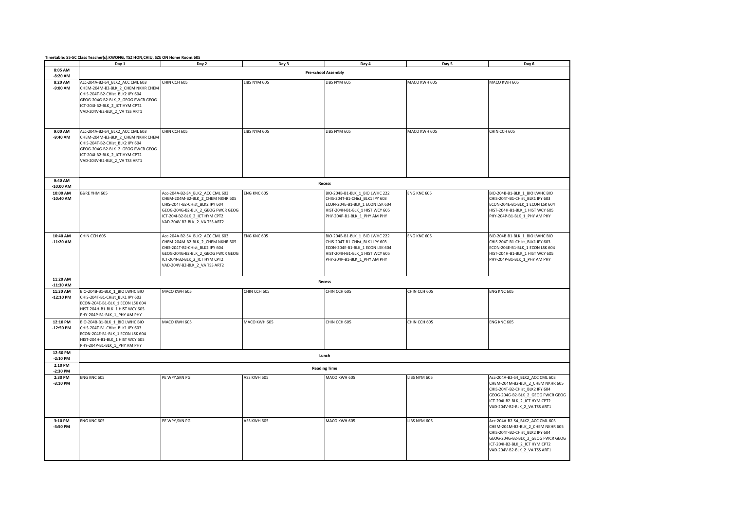|                         | Day 1                                                                                                                                                                                                           | Day 2                                                                                                                                                                                                          | Day 3              | Day 4                                                                                                                                                                   | Day 5        | Day 6                                                                                                                                                                                                          |  |
|-------------------------|-----------------------------------------------------------------------------------------------------------------------------------------------------------------------------------------------------------------|----------------------------------------------------------------------------------------------------------------------------------------------------------------------------------------------------------------|--------------------|-------------------------------------------------------------------------------------------------------------------------------------------------------------------------|--------------|----------------------------------------------------------------------------------------------------------------------------------------------------------------------------------------------------------------|--|
| 8:05 AM<br>$-8:20$ AM   | <b>Pre-school Assembly</b>                                                                                                                                                                                      |                                                                                                                                                                                                                |                    |                                                                                                                                                                         |              |                                                                                                                                                                                                                |  |
| 8:20 AM<br>$-9:00$ AM   | Acc-204A-B2-S4 BLK2 ACC CML 603<br>CHEM-204M-B2-BLK_2_CHEM NKHR CHEM<br>CHIS-204T-B2-CHist BLK2 IPY 604<br>GEOG-204G-B2-BLK_2_GEOG FWCR GEOG<br>ICT-204I-B2-BLK 2 ICT HYM CPT2<br>VAD-204V-B2-BLK_2_VA TSS ART1 | CHIN CCH 605                                                                                                                                                                                                   | LIBS NYM 605       | LIBS NYM 605                                                                                                                                                            | MACO KWH 605 | MACO KWH 605                                                                                                                                                                                                   |  |
| 9:00 AM<br>$-9:40$ AM   | Acc-204A-B2-S4_BLK2_ACC CML 603<br>CHEM-204M-B2-BLK_2_CHEM NKHR CHEM<br>CHIS-204T-B2-CHist BLK2 IPY 604<br>GEOG-204G-B2-BLK_2_GEOG FWCR GEOG<br>ICT-204I-B2-BLK 2 ICT HYM CPT2<br>VAD-204V-B2-BLK_2_VA TSS ART1 | CHIN CCH 605                                                                                                                                                                                                   | LIBS NYM 605       | LIBS NYM 605                                                                                                                                                            | MACO KWH 605 | CHIN CCH 605                                                                                                                                                                                                   |  |
| 9:40 AM<br>$-10:00$ AM  |                                                                                                                                                                                                                 |                                                                                                                                                                                                                |                    | Recess                                                                                                                                                                  |              |                                                                                                                                                                                                                |  |
| 10:00 AM<br>$-10:40$ AM | <b>E&amp;RE YHM 605</b>                                                                                                                                                                                         | Acc-204A-B2-S4_BLK2_ACC CML 603<br>CHEM-204M-B2-BLK_2_CHEM NKHR 605<br>CHIS-204T-B2-CHist_BLK2 IPY 604<br>GEOG-204G-B2-BLK_2_GEOG FWCR GEOG<br>ICT-204I-B2-BLK_2_ICT HYM CPT2<br>VAD-204V-B2-BLK_2_VA TSS ART2 | <b>ENG KNC 605</b> | BIO-204B-B1-BLK_1_BIO LWHC 222<br>CHIS-204T-B1-CHist_BLK1 IPY 603<br>ECON-204E-B1-BLK_1 ECON LSK 604<br>HIST-204H-B1-BLK_1 HIST WCY 605<br>PHY-204P-B1-BLK_1_PHY AM PHY | ENG KNC 605  | BIO-204B-B1-BLK_1_BIO LWHC BIO<br>CHIS-204T-B1-CHist_BLK1 IPY 603<br>ECON-204E-B1-BLK_1 ECON LSK 604<br>HIST-204H-B1-BLK_1 HIST WCY 605<br>PHY-204P-B1-BLK_1_PHY AM PHY                                        |  |
| 10:40 AM<br>$-11:20$ AM | CHIN CCH 605                                                                                                                                                                                                    | Acc-204A-B2-S4_BLK2_ACC CML 603<br>CHEM-204M-B2-BLK_2_CHEM NKHR 605<br>CHIS-204T-B2-CHist BLK2 IPY 604<br>GEOG-204G-B2-BLK_2_GEOG FWCR GEOG<br>ICT-204I-B2-BLK 2 ICT HYM CPT2<br>VAD-204V-B2-BLK_2_VA TSS ART2 | <b>ENG KNC 605</b> | BIO-204B-B1-BLK_1_BIO LWHC 222<br>CHIS-204T-B1-CHist_BLK1 IPY 603<br>ECON-204E-B1-BLK 1 ECON LSK 604<br>HIST-204H-B1-BLK_1 HIST WCY 605<br>PHY-204P-B1-BLK_1_PHY AM PHY | ENG KNC 605  | BIO-204B-B1-BLK_1_BIO LWHC BIO<br>CHIS-204T-B1-CHist_BLK1 IPY 603<br>ECON-204E-B1-BLK 1 ECON LSK 604<br>HIST-204H-B1-BLK_1 HIST WCY 605<br>PHY-204P-B1-BLK_1_PHY AM PHY                                        |  |
| 11:20 AM<br>$-11:30$ AM |                                                                                                                                                                                                                 |                                                                                                                                                                                                                |                    | Recess                                                                                                                                                                  |              |                                                                                                                                                                                                                |  |
| 11:30 AM<br>$-12:10$ PM | BIO-204B-B1-BLK_1_BIO LWHC BIO<br>CHIS-204T-B1-CHist_BLK1 IPY 603<br>ECON-204E-B1-BLK_1 ECON LSK 604<br>HIST-204H-B1-BLK 1 HIST WCY 605<br>PHY-204P-B1-BLK_1_PHY AM PHY                                         | MACO KWH 605                                                                                                                                                                                                   | CHIN CCH 605       | CHIN CCH 605                                                                                                                                                            | CHIN CCH 605 | ENG KNC 605                                                                                                                                                                                                    |  |
| 12:10 PM<br>$-12:50$ PM | BIO-204B-B1-BLK 1 BIO LWHC BIO<br>CHIS-204T-B1-CHist_BLK1 IPY 603<br>ECON-204E-B1-BLK_1 ECON LSK 604<br>HIST-204H-B1-BLK_1 HIST WCY 605<br>PHY-204P-B1-BLK_1_PHY AM PHY                                         | MACO KWH 605                                                                                                                                                                                                   | MACO KWH 605       | CHIN CCH 605                                                                                                                                                            | CHIN CCH 605 | <b>ENG KNC 605</b>                                                                                                                                                                                             |  |
| 12:50 PM<br>$-2:10$ PM  | Lunch                                                                                                                                                                                                           |                                                                                                                                                                                                                |                    |                                                                                                                                                                         |              |                                                                                                                                                                                                                |  |
| 2:10 PM<br>$-2:30$ PM   | <b>Reading Time</b>                                                                                                                                                                                             |                                                                                                                                                                                                                |                    |                                                                                                                                                                         |              |                                                                                                                                                                                                                |  |
| 2:30 PM<br>$-3:10$ PM   | ENG KNC 605                                                                                                                                                                                                     | PE WPY, SKN PG                                                                                                                                                                                                 | ASS KWH 605        | MACO KWH 605                                                                                                                                                            | LIBS NYM 605 | Acc-204A-B2-S4_BLK2_ACC CML 603<br>CHEM-204M-B2-BLK 2 CHEM NKHR 605<br>CHIS-204T-B2-CHist_BLK2 IPY 604<br>GEOG-204G-B2-BLK_2_GEOG FWCR GEOG<br>ICT-204I-B2-BLK_2_ICT HYM CPT2<br>VAD-204V-B2-BLK_2_VA TSS ART1 |  |
| 3:10 PM<br>-3:50 PM     | ENG KNC 605                                                                                                                                                                                                     | PE WPY, SKN PG                                                                                                                                                                                                 | ASS KWH 605        | MACO KWH 605                                                                                                                                                            | LIBS NYM 605 | Acc-204A-B2-S4 BLK2 ACC CML 603<br>CHEM-204M-B2-BLK_2_CHEM NKHR 605<br>CHIS-204T-B2-CHist BLK2 IPY 604<br>GEOG-204G-B2-BLK_2_GEOG FWCR GEOG<br>ICT-204I-B2-BLK_2_ICT HYM CPT2<br>VAD-204V-B2-BLK_2_VA TSS ART1 |  |